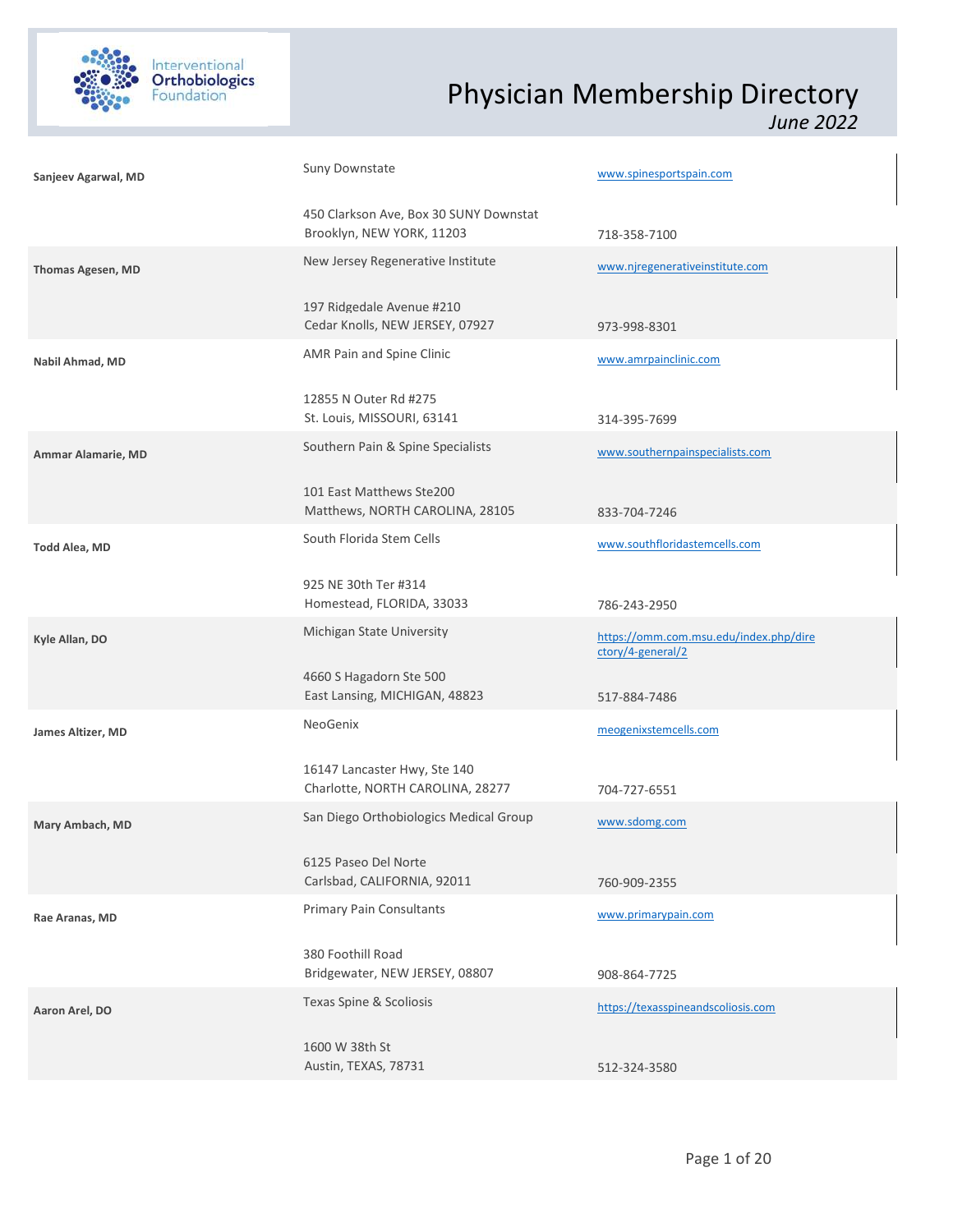

| Sanjeev Agarwal, MD      | Suny Downstate                                                      | www.spinesportspain.com                                     |
|--------------------------|---------------------------------------------------------------------|-------------------------------------------------------------|
|                          | 450 Clarkson Ave, Box 30 SUNY Downstat<br>Brooklyn, NEW YORK, 11203 | 718-358-7100                                                |
| <b>Thomas Agesen, MD</b> | New Jersey Regenerative Institute                                   | www.njregenerativeinstitute.com                             |
|                          | 197 Ridgedale Avenue #210<br>Cedar Knolls, NEW JERSEY, 07927        | 973-998-8301                                                |
| Nabil Ahmad, MD          | AMR Pain and Spine Clinic                                           | www.amrpainclinic.com                                       |
|                          | 12855 N Outer Rd #275<br>St. Louis, MISSOURI, 63141                 | 314-395-7699                                                |
| Ammar Alamarie, MD       | Southern Pain & Spine Specialists                                   | www.southernpainspecialists.com                             |
|                          | 101 East Matthews Ste200<br>Matthews, NORTH CAROLINA, 28105         | 833-704-7246                                                |
| Todd Alea, MD            | South Florida Stem Cells                                            | www.southfloridastemcells.com                               |
|                          | 925 NE 30th Ter #314<br>Homestead, FLORIDA, 33033                   | 786-243-2950                                                |
| Kyle Allan, DO           | Michigan State University                                           | https://omm.com.msu.edu/index.php/dire<br>ctory/4-general/2 |
|                          | 4660 S Hagadorn Ste 500<br>East Lansing, MICHIGAN, 48823            | 517-884-7486                                                |
| James Altizer, MD        | NeoGenix                                                            | meogenixstemcells.com                                       |
|                          | 16147 Lancaster Hwy, Ste 140<br>Charlotte, NORTH CAROLINA, 28277    | 704-727-6551                                                |
| Mary Ambach, MD          | San Diego Orthobiologics Medical Group                              | www.sdomg.com                                               |
|                          | 6125 Paseo Del Norte<br>Carlsbad, CALIFORNIA, 92011                 | 760-909-2355                                                |
| Rae Aranas, MD           | Primary Pain Consultants                                            | www.primarypain.com                                         |
|                          | 380 Foothill Road<br>Bridgewater, NEW JERSEY, 08807                 | 908-864-7725                                                |
| Aaron Arel, DO           | Texas Spine & Scoliosis                                             | https://texasspineandscoliosis.com                          |
|                          | 1600 W 38th St<br>Austin, TEXAS, 78731                              | 512-324-3580                                                |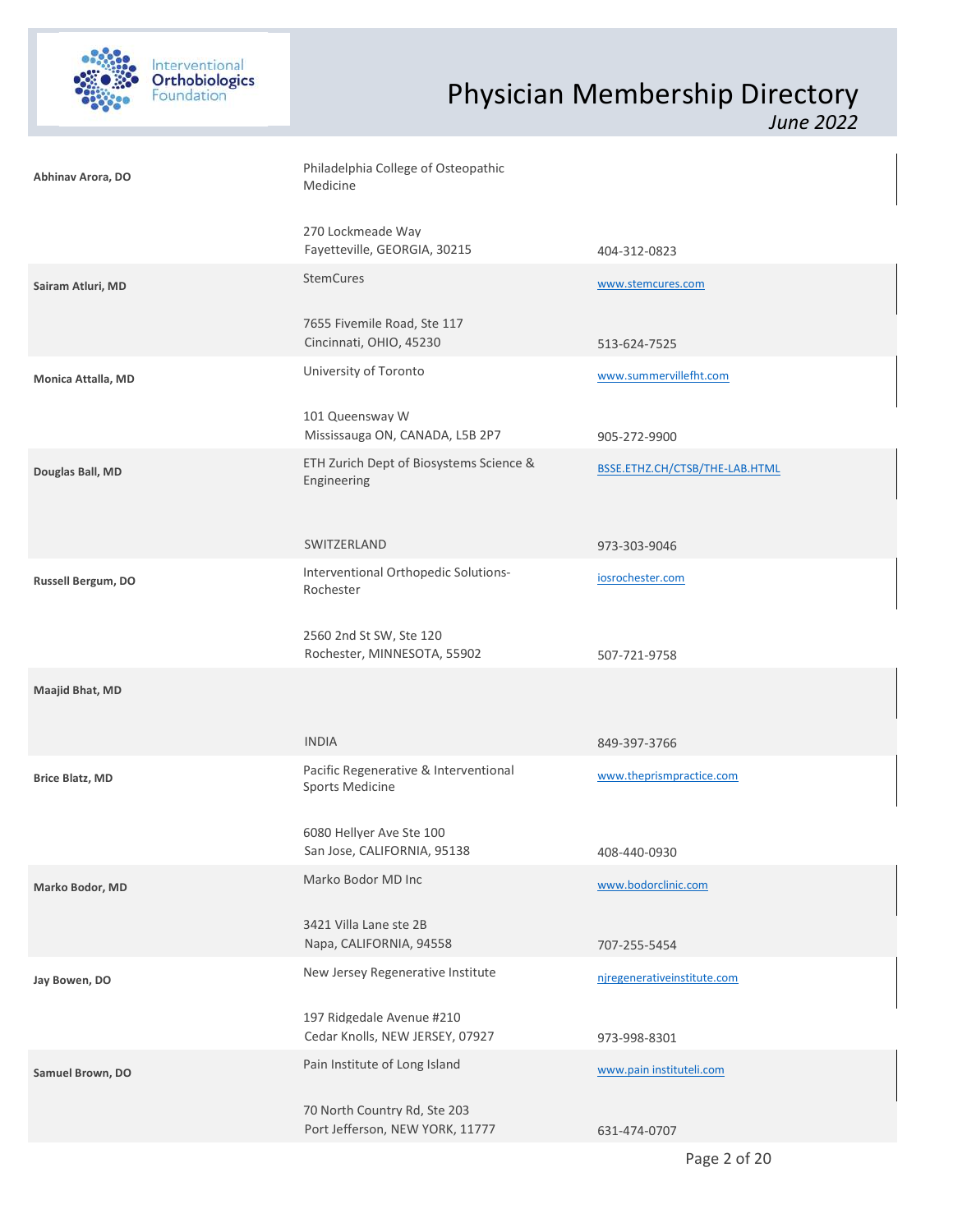

| Abhinav Arora, DO      | Philadelphia College of Osteopathic<br>Medicine                 |                                |  |
|------------------------|-----------------------------------------------------------------|--------------------------------|--|
|                        | 270 Lockmeade Way<br>Fayetteville, GEORGIA, 30215               | 404-312-0823                   |  |
| Sairam Atluri, MD      | <b>StemCures</b>                                                | www.stemcures.com              |  |
|                        | 7655 Fivemile Road, Ste 117<br>Cincinnati, OHIO, 45230          | 513-624-7525                   |  |
| Monica Attalla, MD     | University of Toronto                                           | www.summervillefht.com         |  |
|                        | 101 Queensway W<br>Mississauga ON, CANADA, L5B 2P7              | 905-272-9900                   |  |
| Douglas Ball, MD       | ETH Zurich Dept of Biosystems Science &<br>Engineering          | BSSE.ETHZ.CH/CTSB/THE-LAB.HTML |  |
|                        | SWITZERLAND                                                     | 973-303-9046                   |  |
| Russell Bergum, DO     | Interventional Orthopedic Solutions-<br>Rochester               | iosrochester.com               |  |
|                        | 2560 2nd St SW, Ste 120<br>Rochester, MINNESOTA, 55902          | 507-721-9758                   |  |
| Maajid Bhat, MD        |                                                                 |                                |  |
|                        | <b>INDIA</b>                                                    | 849-397-3766                   |  |
| <b>Brice Blatz, MD</b> | Pacific Regenerative & Interventional<br>Sports Medicine        | www.theprismpractice.com       |  |
|                        | 6080 Hellyer Ave Ste 100<br>San Jose, CALIFORNIA, 95138         | 408-440-0930                   |  |
| Marko Bodor, MD        | Marko Bodor MD Inc                                              | www.bodorclinic.com            |  |
|                        | 3421 Villa Lane ste 2B<br>Napa, CALIFORNIA, 94558               | 707-255-5454                   |  |
| Jay Bowen, DO          | New Jersey Regenerative Institute                               | njregenerativeinstitute.com    |  |
|                        | 197 Ridgedale Avenue #210<br>Cedar Knolls, NEW JERSEY, 07927    | 973-998-8301                   |  |
| Samuel Brown, DO       | Pain Institute of Long Island                                   | www.pain instituteli.com       |  |
|                        | 70 North Country Rd, Ste 203<br>Port Jefferson, NEW YORK, 11777 | 631-474-0707                   |  |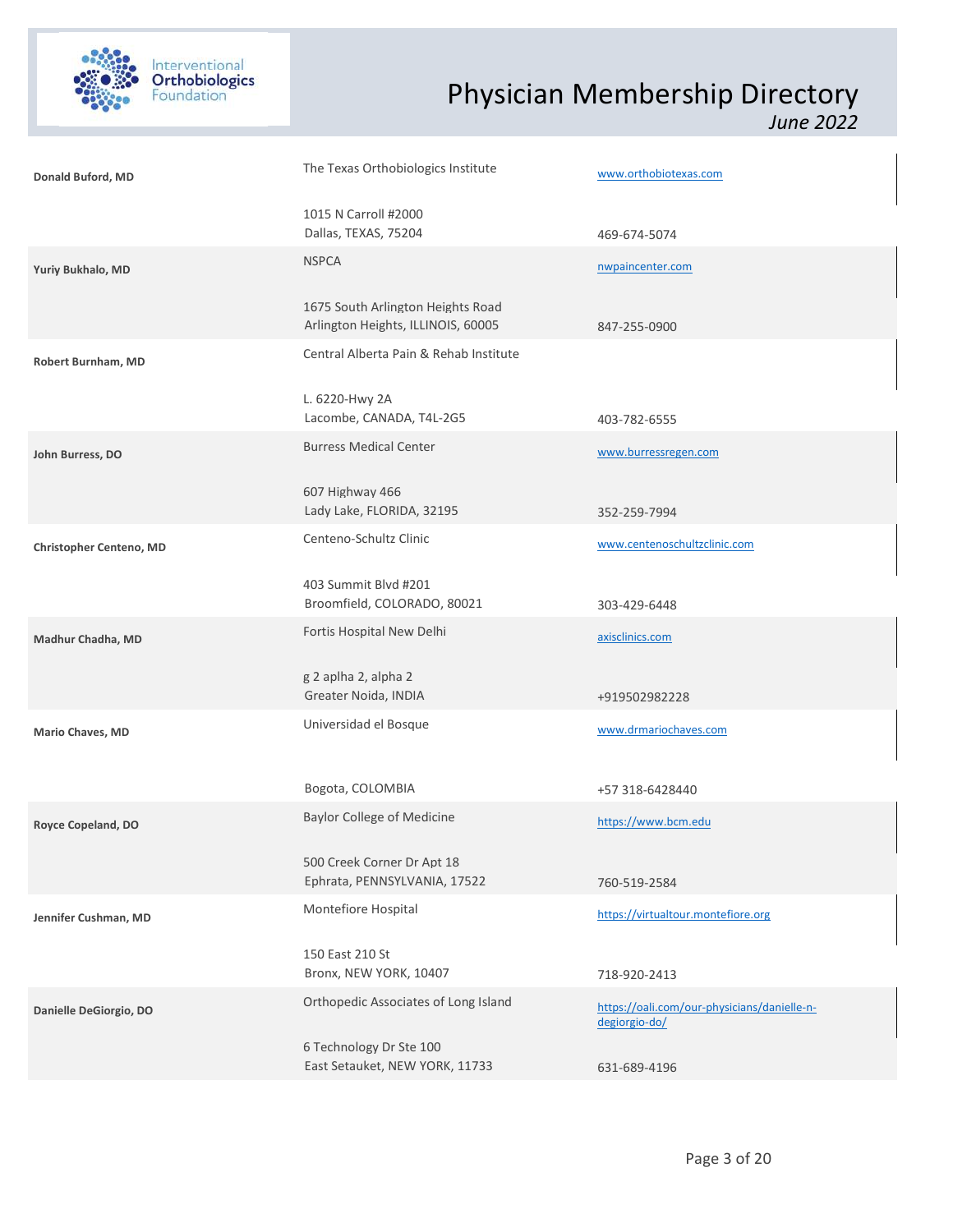

| Donald Buford, MD       | The Texas Orthobiologics Institute                                      | www.orthobiotexas.com                                        |  |
|-------------------------|-------------------------------------------------------------------------|--------------------------------------------------------------|--|
|                         | 1015 N Carroll #2000<br>Dallas, TEXAS, 75204                            | 469-674-5074                                                 |  |
| Yuriy Bukhalo, MD       | <b>NSPCA</b>                                                            | nwpaincenter.com                                             |  |
|                         | 1675 South Arlington Heights Road<br>Arlington Heights, ILLINOIS, 60005 | 847-255-0900                                                 |  |
| Robert Burnham, MD      | Central Alberta Pain & Rehab Institute                                  |                                                              |  |
|                         | L. 6220-Hwy 2A<br>Lacombe, CANADA, T4L-2G5                              | 403-782-6555                                                 |  |
| John Burress, DO        | <b>Burress Medical Center</b>                                           | www.burressregen.com                                         |  |
|                         | 607 Highway 466<br>Lady Lake, FLORIDA, 32195                            | 352-259-7994                                                 |  |
| Christopher Centeno, MD | Centeno-Schultz Clinic                                                  | www.centenoschultzclinic.com                                 |  |
|                         | 403 Summit Blvd #201<br>Broomfield, COLORADO, 80021                     | 303-429-6448                                                 |  |
| Madhur Chadha, MD       | Fortis Hospital New Delhi                                               | axisclinics.com                                              |  |
|                         | g 2 aplha 2, alpha 2<br>Greater Noida, INDIA                            | +919502982228                                                |  |
| Mario Chaves, MD        | Universidad el Bosque                                                   | www.drmariochaves.com                                        |  |
|                         | Bogota, COLOMBIA                                                        | +57 318-6428440                                              |  |
| Royce Copeland, DO      | <b>Baylor College of Medicine</b>                                       | https://www.bcm.edu                                          |  |
|                         | 500 Creek Corner Dr Apt 18<br>Ephrata, PENNSYLVANIA, 17522              | 760-519-2584                                                 |  |
| Jennifer Cushman, MD    | Montefiore Hospital                                                     | https://virtualtour.montefiore.org                           |  |
|                         | 150 East 210 St<br>Bronx, NEW YORK, 10407                               | 718-920-2413                                                 |  |
| Danielle DeGiorgio, DO  | Orthopedic Associates of Long Island                                    | https://oali.com/our-physicians/danielle-n-<br>degiorgio-do/ |  |
|                         | 6 Technology Dr Ste 100<br>East Setauket, NEW YORK, 11733               | 631-689-4196                                                 |  |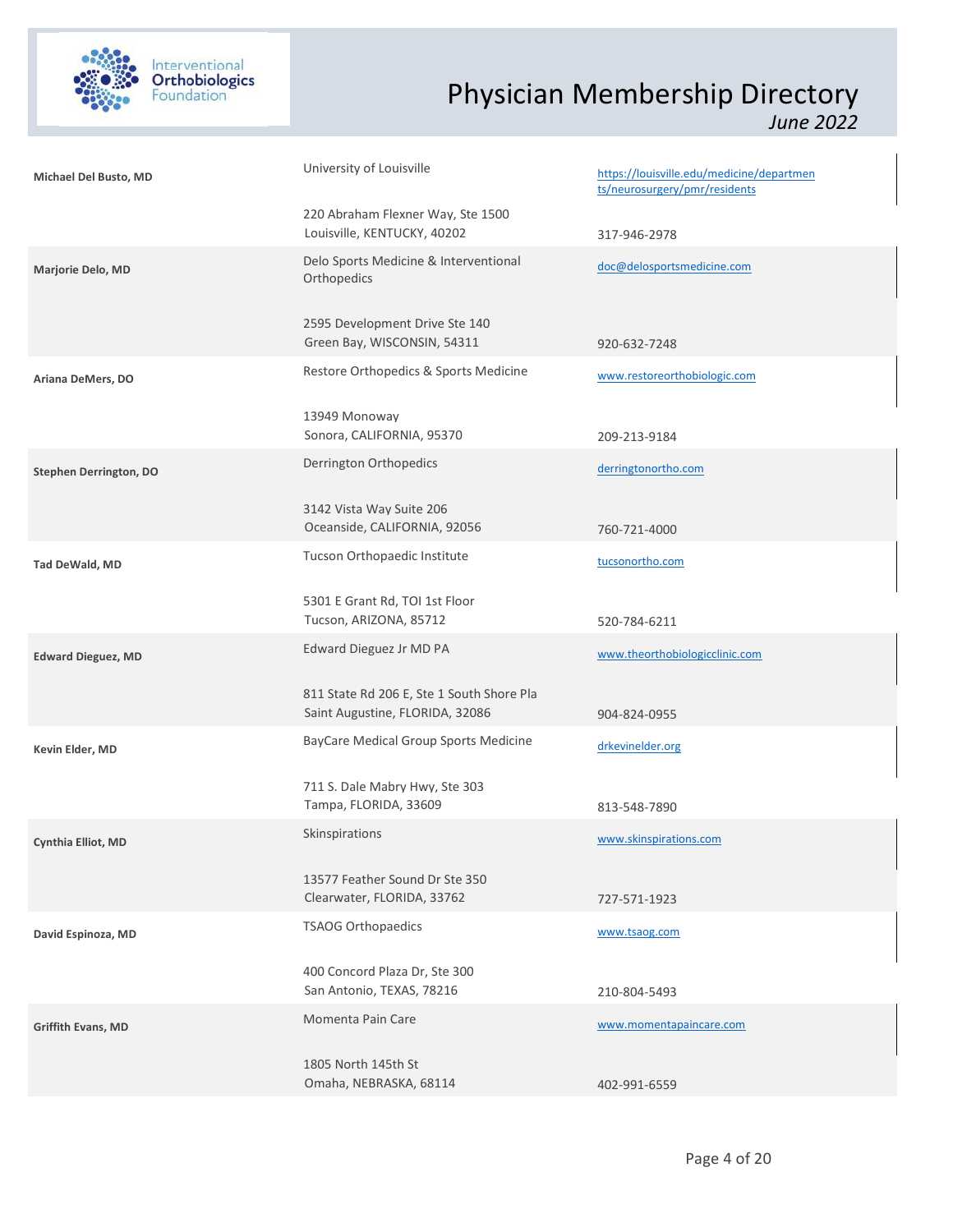

| Michael Del Busto, MD         | University of Louisville                                                     | https://louisville.edu/medicine/departmen<br>ts/neurosurgery/pmr/residents |  |
|-------------------------------|------------------------------------------------------------------------------|----------------------------------------------------------------------------|--|
|                               | 220 Abraham Flexner Way, Ste 1500<br>Louisville, KENTUCKY, 40202             | 317-946-2978                                                               |  |
| Marjorie Delo, MD             | Delo Sports Medicine & Interventional<br>Orthopedics                         | doc@delosportsmedicine.com                                                 |  |
|                               | 2595 Development Drive Ste 140<br>Green Bay, WISCONSIN, 54311                | 920-632-7248                                                               |  |
| Ariana DeMers, DO             | Restore Orthopedics & Sports Medicine                                        | www.restoreorthobiologic.com                                               |  |
|                               | 13949 Monoway<br>Sonora, CALIFORNIA, 95370                                   | 209-213-9184                                                               |  |
| <b>Stephen Derrington, DO</b> | Derrington Orthopedics                                                       | derringtonortho.com                                                        |  |
|                               | 3142 Vista Way Suite 206<br>Oceanside, CALIFORNIA, 92056                     | 760-721-4000                                                               |  |
| Tad DeWald, MD                | Tucson Orthopaedic Institute                                                 | tucsonortho.com                                                            |  |
|                               | 5301 E Grant Rd, TOI 1st Floor<br>Tucson, ARIZONA, 85712                     | 520-784-6211                                                               |  |
| <b>Edward Dieguez, MD</b>     | Edward Dieguez Jr MD PA                                                      | www.theorthobiologicclinic.com                                             |  |
|                               | 811 State Rd 206 E, Ste 1 South Shore Pla<br>Saint Augustine, FLORIDA, 32086 | 904-824-0955                                                               |  |
| Kevin Elder, MD               | BayCare Medical Group Sports Medicine                                        | drkevinelder.org                                                           |  |
|                               | 711 S. Dale Mabry Hwy, Ste 303<br>Tampa, FLORIDA, 33609                      | 813-548-7890                                                               |  |
| Cynthia Elliot, MD            | Skinspirations                                                               | www.skinspirations.com                                                     |  |
|                               | 13577 Feather Sound Dr Ste 350<br>Clearwater, FLORIDA, 33762                 | 727-571-1923                                                               |  |
| David Espinoza, MD            | <b>TSAOG Orthopaedics</b>                                                    | www.tsaog.com                                                              |  |
|                               | 400 Concord Plaza Dr, Ste 300<br>San Antonio, TEXAS, 78216                   | 210-804-5493                                                               |  |
| Griffith Evans, MD            | Momenta Pain Care                                                            | www.momentapaincare.com                                                    |  |
|                               | 1805 North 145th St<br>Omaha, NEBRASKA, 68114                                | 402-991-6559                                                               |  |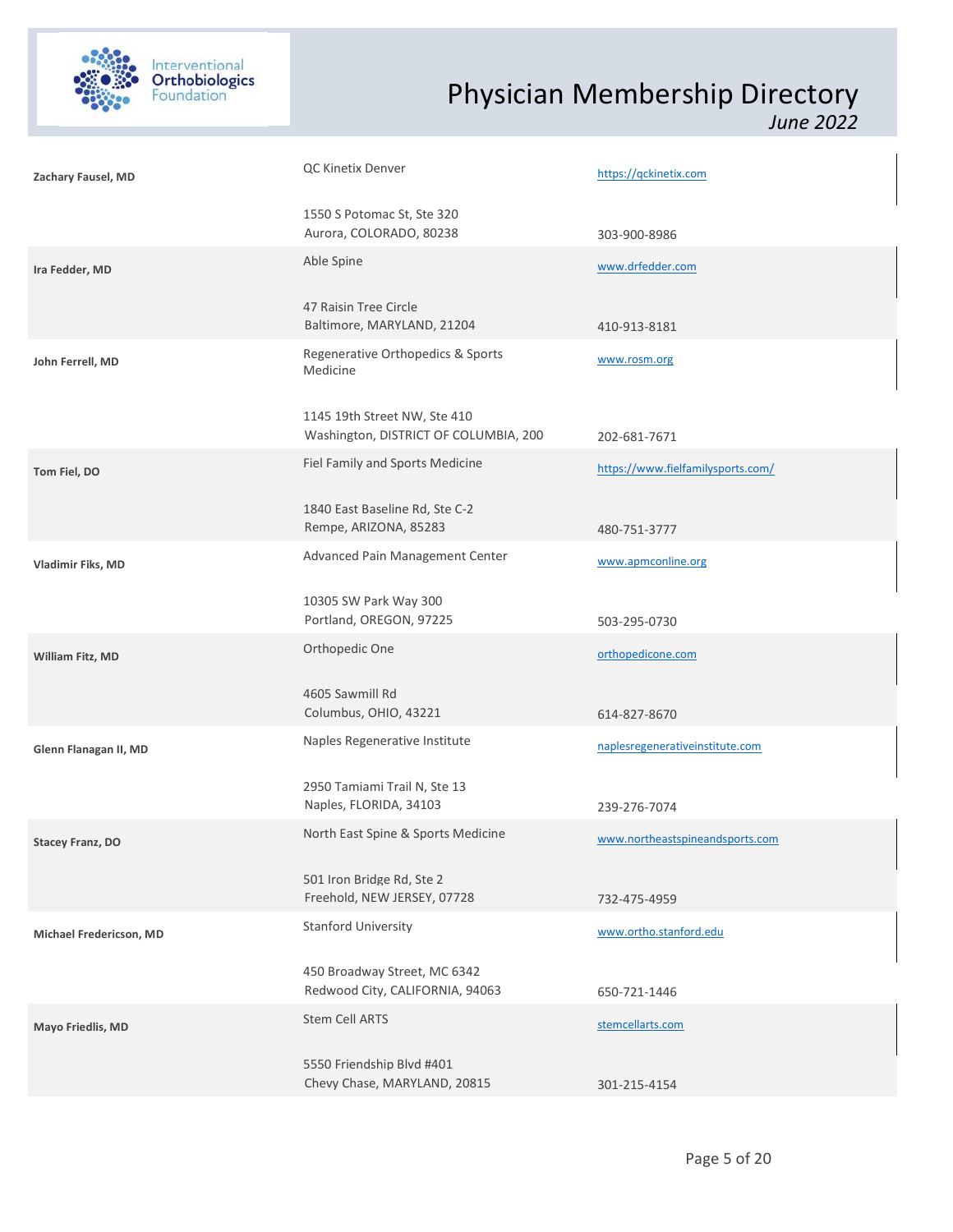

| Zachary Fausel, MD      | QC Kinetix Denver                                                     | https://qckinetix.com             |  |
|-------------------------|-----------------------------------------------------------------------|-----------------------------------|--|
|                         | 1550 S Potomac St, Ste 320<br>Aurora, COLORADO, 80238                 | 303-900-8986                      |  |
| Ira Fedder, MD          | Able Spine                                                            | www.drfedder.com                  |  |
|                         | 47 Raisin Tree Circle<br>Baltimore, MARYLAND, 21204                   | 410-913-8181                      |  |
| John Ferrell, MD        | Regenerative Orthopedics & Sports<br>Medicine                         | www.rosm.org                      |  |
|                         | 1145 19th Street NW, Ste 410<br>Washington, DISTRICT OF COLUMBIA, 200 | 202-681-7671                      |  |
| Tom Fiel, DO            | Fiel Family and Sports Medicine                                       | https://www.fielfamilysports.com/ |  |
|                         | 1840 East Baseline Rd, Ste C-2<br>Rempe, ARIZONA, 85283               | 480-751-3777                      |  |
| Vladimir Fiks, MD       | Advanced Pain Management Center                                       | www.apmconline.org                |  |
|                         | 10305 SW Park Way 300<br>Portland, OREGON, 97225                      | 503-295-0730                      |  |
| William Fitz, MD        | Orthopedic One                                                        | orthopedicone.com                 |  |
|                         | 4605 Sawmill Rd<br>Columbus, OHIO, 43221                              | 614-827-8670                      |  |
| Glenn Flanagan II, MD   | Naples Regenerative Institute                                         | naplesregenerativeinstitute.com   |  |
|                         | 2950 Tamiami Trail N, Ste 13<br>Naples, FLORIDA, 34103                | 239-276-7074                      |  |
| <b>Stacey Franz, DO</b> | North East Spine & Sports Medicine                                    | www.northeastspineandsports.com   |  |
|                         | 501 Iron Bridge Rd, Ste 2<br>Freehold, NEW JERSEY, 07728              | 732-475-4959                      |  |
| Michael Fredericson, MD | Stanford University                                                   | www.ortho.stanford.edu            |  |
|                         | 450 Broadway Street, MC 6342<br>Redwood City, CALIFORNIA, 94063       | 650-721-1446                      |  |
| Mayo Friedlis, MD       | Stem Cell ARTS                                                        | stemcellarts.com                  |  |
|                         | 5550 Friendship Blvd #401<br>Chevy Chase, MARYLAND, 20815             | 301-215-4154                      |  |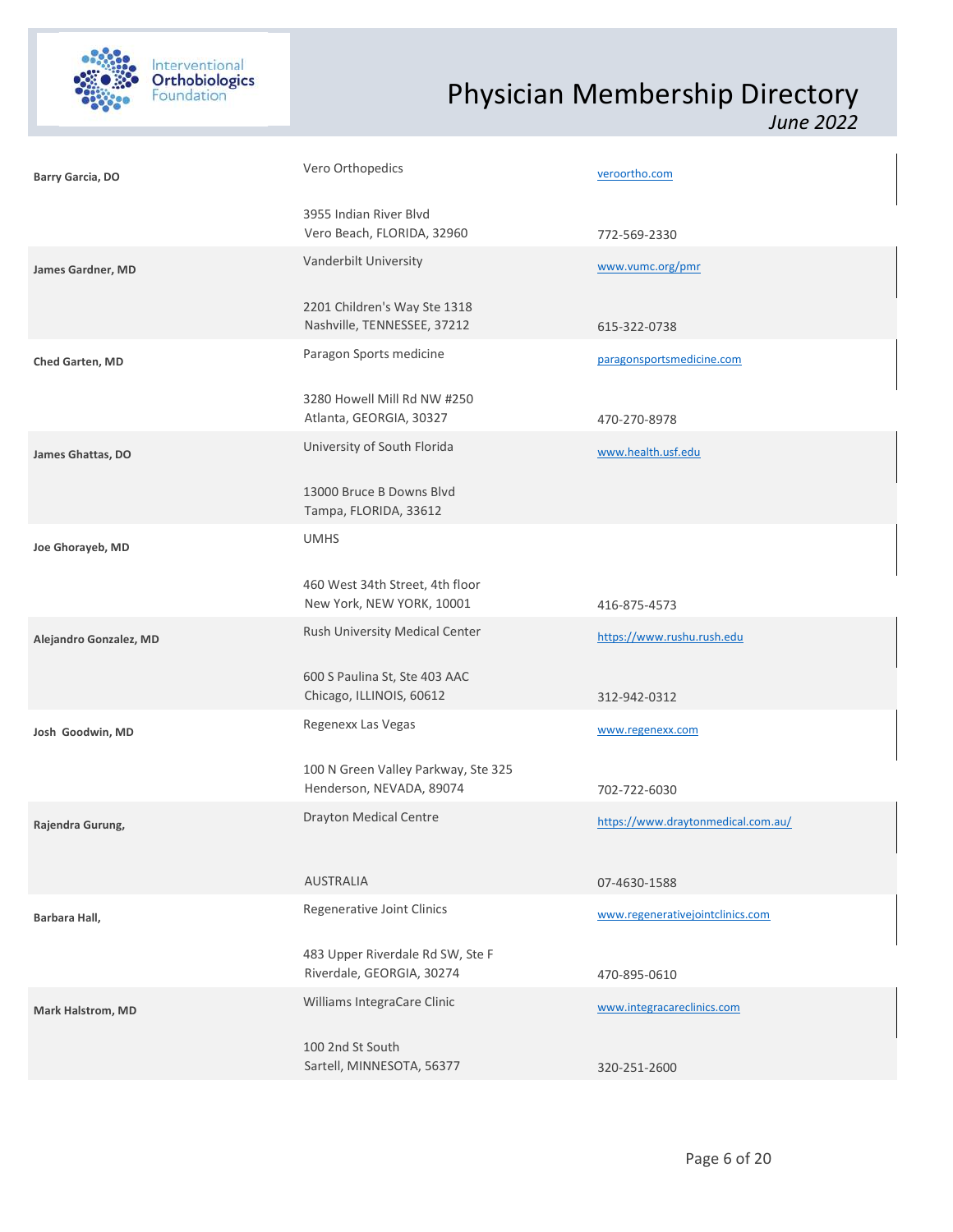

| Barry Garcia, DO       | Vero Orthopedics                                                | veroortho.com                      |  |
|------------------------|-----------------------------------------------------------------|------------------------------------|--|
|                        | 3955 Indian River Blvd<br>Vero Beach, FLORIDA, 32960            | 772-569-2330                       |  |
| James Gardner, MD      | Vanderbilt University                                           | www.vumc.org/pmr                   |  |
|                        | 2201 Children's Way Ste 1318<br>Nashville, TENNESSEE, 37212     | 615-322-0738                       |  |
| Ched Garten, MD        | Paragon Sports medicine                                         | paragonsportsmedicine.com          |  |
|                        | 3280 Howell Mill Rd NW #250<br>Atlanta, GEORGIA, 30327          | 470-270-8978                       |  |
| James Ghattas, DO      | University of South Florida                                     | www.health.usf.edu                 |  |
|                        | 13000 Bruce B Downs Blvd<br>Tampa, FLORIDA, 33612               |                                    |  |
| Joe Ghorayeb, MD       | <b>UMHS</b>                                                     |                                    |  |
|                        | 460 West 34th Street, 4th floor<br>New York, NEW YORK, 10001    | 416-875-4573                       |  |
| Alejandro Gonzalez, MD | Rush University Medical Center                                  | https://www.rushu.rush.edu         |  |
|                        | 600 S Paulina St, Ste 403 AAC<br>Chicago, ILLINOIS, 60612       | 312-942-0312                       |  |
| Josh Goodwin, MD       | Regenexx Las Vegas                                              | www.regenexx.com                   |  |
|                        | 100 N Green Valley Parkway, Ste 325<br>Henderson, NEVADA, 89074 | 702-722-6030                       |  |
| Rajendra Gurung,       | <b>Drayton Medical Centre</b>                                   | https://www.draytonmedical.com.au/ |  |
|                        | <b>AUSTRALIA</b>                                                | 07-4630-1588                       |  |
| Barbara Hall,          | Regenerative Joint Clinics                                      | www.regenerativejointclinics.com   |  |
|                        | 483 Upper Riverdale Rd SW, Ste F<br>Riverdale, GEORGIA, 30274   | 470-895-0610                       |  |
| Mark Halstrom, MD      | Williams IntegraCare Clinic                                     | www.integracareclinics.com         |  |
|                        | 100 2nd St South<br>Sartell, MINNESOTA, 56377                   | 320-251-2600                       |  |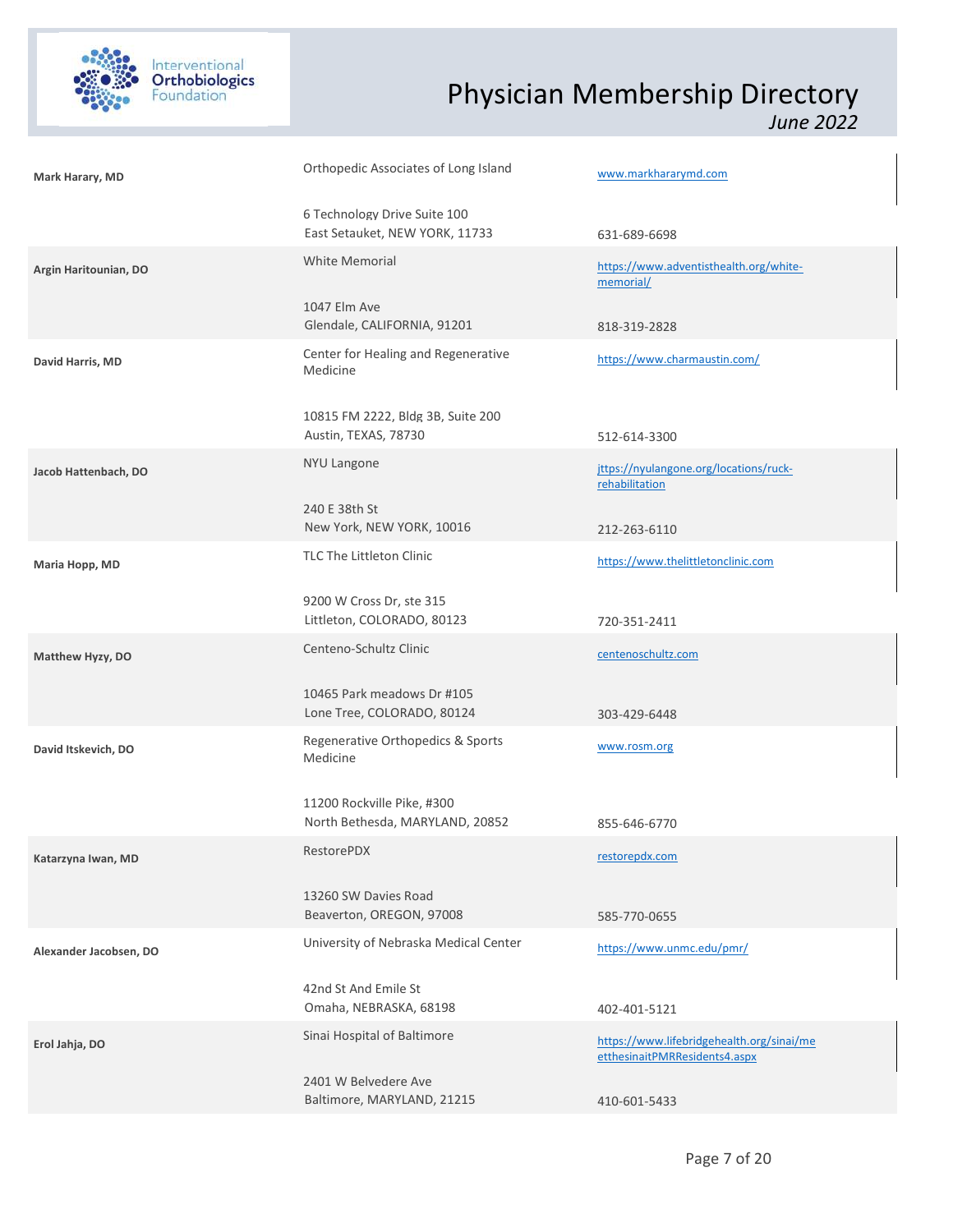

| Mark Harary, MD        | Orthopedic Associates of Long Island                           | www.markhararymd.com                                                       |
|------------------------|----------------------------------------------------------------|----------------------------------------------------------------------------|
|                        | 6 Technology Drive Suite 100<br>East Setauket, NEW YORK, 11733 | 631-689-6698                                                               |
| Argin Haritounian, DO  | <b>White Memorial</b>                                          | https://www.adventisthealth.org/white-<br>memorial/                        |
|                        | 1047 Elm Ave<br>Glendale, CALIFORNIA, 91201                    | 818-319-2828                                                               |
| David Harris, MD       | Center for Healing and Regenerative<br>Medicine                | https://www.charmaustin.com/                                               |
|                        | 10815 FM 2222, Bldg 3B, Suite 200<br>Austin, TEXAS, 78730      | 512-614-3300                                                               |
| Jacob Hattenbach, DO   | <b>NYU Langone</b>                                             | jttps://nyulangone.org/locations/ruck-<br>rehabilitation                   |
|                        | 240 E 38th St<br>New York, NEW YORK, 10016                     | 212-263-6110                                                               |
| Maria Hopp, MD         | TLC The Littleton Clinic                                       | https://www.thelittletonclinic.com                                         |
|                        | 9200 W Cross Dr, ste 315<br>Littleton, COLORADO, 80123         | 720-351-2411                                                               |
| Matthew Hyzy, DO       | Centeno-Schultz Clinic                                         | centenoschultz.com                                                         |
|                        | 10465 Park meadows Dr #105<br>Lone Tree, COLORADO, 80124       | 303-429-6448                                                               |
| David Itskevich, DO    | Regenerative Orthopedics & Sports<br>Medicine                  | www.rosm.org                                                               |
|                        | 11200 Rockville Pike, #300<br>North Bethesda, MARYLAND, 20852  | 855-646-6770                                                               |
| Katarzyna Iwan, MD     | RestorePDX                                                     | restorepdx.com                                                             |
|                        | 13260 SW Davies Road<br>Beaverton, OREGON, 97008               | 585-770-0655                                                               |
| Alexander Jacobsen, DO | University of Nebraska Medical Center                          | https://www.unmc.edu/pmr/                                                  |
|                        | 42nd St And Emile St<br>Omaha, NEBRASKA, 68198                 | 402-401-5121                                                               |
| Erol Jahja, DO         | Sinai Hospital of Baltimore                                    | https://www.lifebridgehealth.org/sinai/me<br>etthesinaitPMRResidents4.aspx |
|                        | 2401 W Belvedere Ave<br>Baltimore, MARYLAND, 21215             | 410-601-5433                                                               |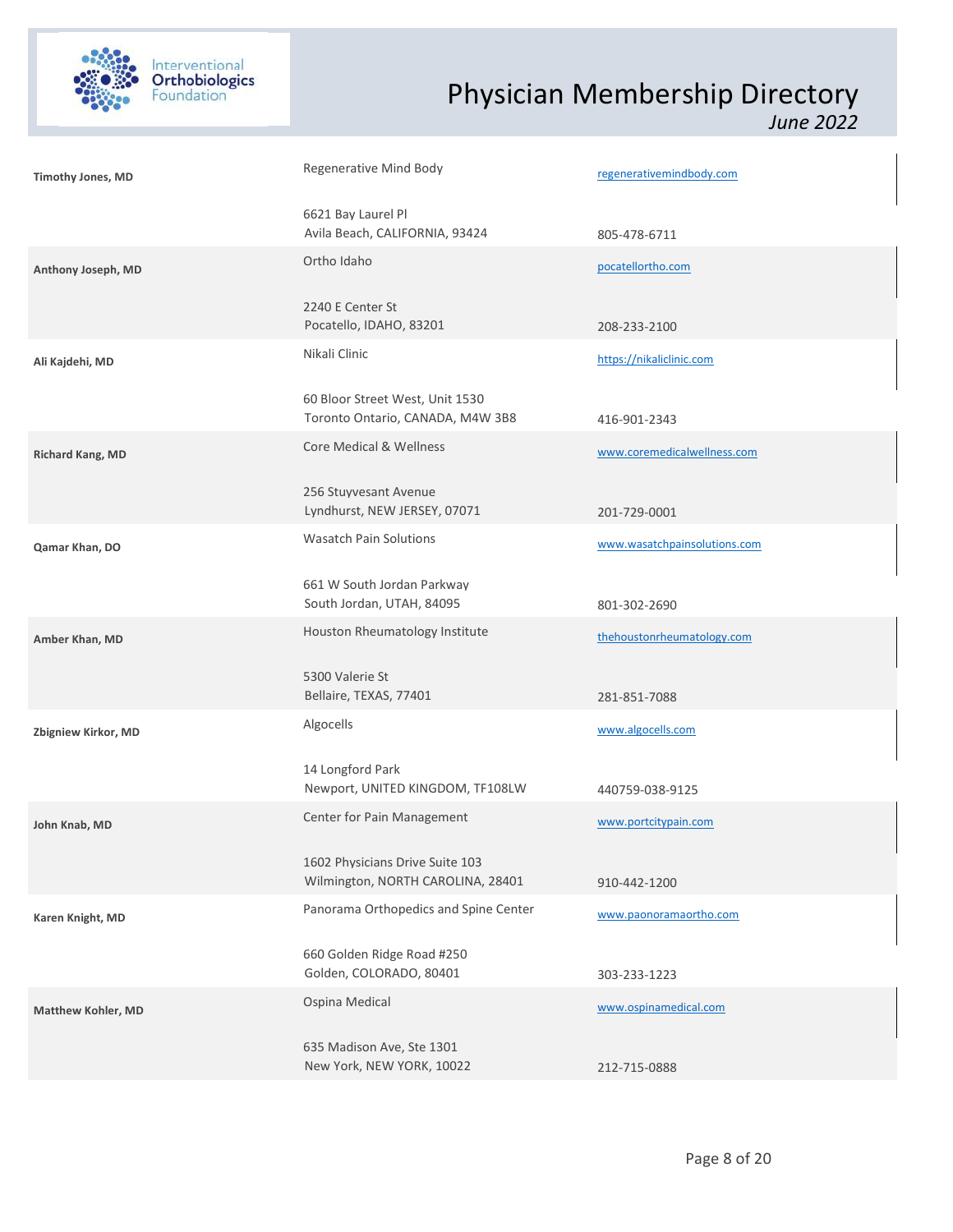

| <b>Timothy Jones, MD</b>  | Regenerative Mind Body                                               | regenerativemindbody.com     |  |
|---------------------------|----------------------------------------------------------------------|------------------------------|--|
|                           | 6621 Bay Laurel Pl<br>Avila Beach, CALIFORNIA, 93424                 | 805-478-6711                 |  |
| Anthony Joseph, MD        | Ortho Idaho                                                          | pocatellortho.com            |  |
|                           | 2240 E Center St<br>Pocatello, IDAHO, 83201                          | 208-233-2100                 |  |
| Ali Kajdehi, MD           | Nikali Clinic                                                        | https://nikaliclinic.com     |  |
|                           | 60 Bloor Street West, Unit 1530<br>Toronto Ontario, CANADA, M4W 3B8  | 416-901-2343                 |  |
| Richard Kang, MD          | Core Medical & Wellness                                              | www.coremedicalwellness.com  |  |
|                           | 256 Stuyvesant Avenue<br>Lyndhurst, NEW JERSEY, 07071                | 201-729-0001                 |  |
| Qamar Khan, DO            | <b>Wasatch Pain Solutions</b>                                        | www.wasatchpainsolutions.com |  |
|                           | 661 W South Jordan Parkway<br>South Jordan, UTAH, 84095              | 801-302-2690                 |  |
| Amber Khan, MD            | Houston Rheumatology Institute                                       | thehoustonrheumatology.com   |  |
|                           | 5300 Valerie St<br>Bellaire, TEXAS, 77401                            | 281-851-7088                 |  |
| Zbigniew Kirkor, MD       | Algocells                                                            | www.algocells.com            |  |
|                           | 14 Longford Park<br>Newport, UNITED KINGDOM, TF108LW                 | 440759-038-9125              |  |
| John Knab, MD             | Center for Pain Management                                           | www.portcitypain.com         |  |
|                           | 1602 Physicians Drive Suite 103<br>Wilmington, NORTH CAROLINA, 28401 | 910-442-1200                 |  |
| Karen Knight, MD          | Panorama Orthopedics and Spine Center                                | www.paonoramaortho.com       |  |
|                           | 660 Golden Ridge Road #250<br>Golden, COLORADO, 80401                | 303-233-1223                 |  |
| <b>Matthew Kohler, MD</b> | Ospina Medical                                                       | www.ospinamedical.com        |  |
|                           | 635 Madison Ave, Ste 1301<br>New York, NEW YORK, 10022               | 212-715-0888                 |  |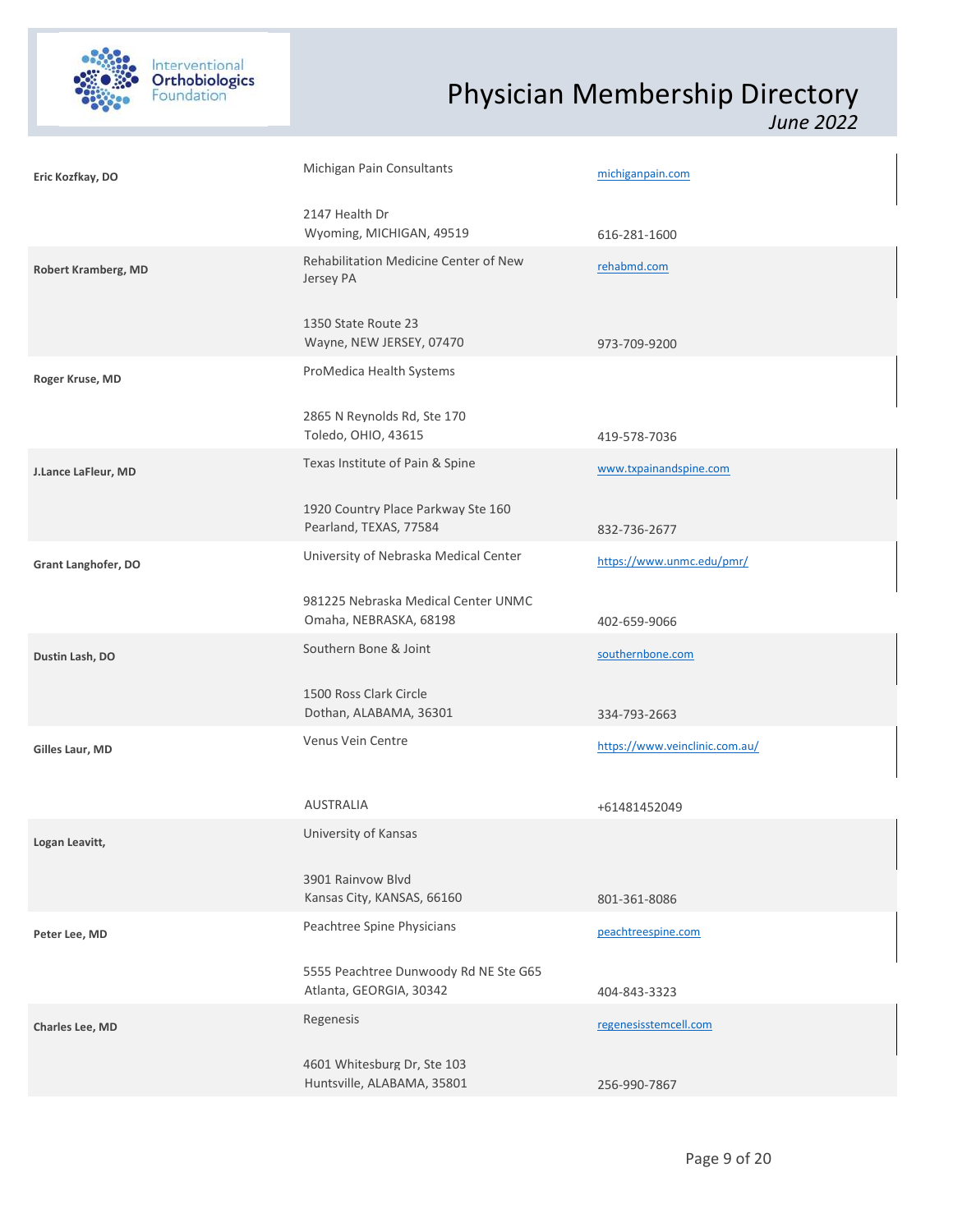

| Eric Kozfkay, DO           | Michigan Pain Consultants                                        | michiganpain.com               |  |
|----------------------------|------------------------------------------------------------------|--------------------------------|--|
|                            | 2147 Health Dr<br>Wyoming, MICHIGAN, 49519                       | 616-281-1600                   |  |
| <b>Robert Kramberg, MD</b> | Rehabilitation Medicine Center of New<br>Jersey PA               | rehabmd.com                    |  |
|                            | 1350 State Route 23<br>Wayne, NEW JERSEY, 07470                  | 973-709-9200                   |  |
| Roger Kruse, MD            | ProMedica Health Systems                                         |                                |  |
|                            | 2865 N Reynolds Rd, Ste 170<br>Toledo, OHIO, 43615               | 419-578-7036                   |  |
| J.Lance LaFleur, MD        | Texas Institute of Pain & Spine                                  | www.txpainandspine.com         |  |
|                            | 1920 Country Place Parkway Ste 160<br>Pearland, TEXAS, 77584     | 832-736-2677                   |  |
| Grant Langhofer, DO        | University of Nebraska Medical Center                            | https://www.unmc.edu/pmr/      |  |
|                            | 981225 Nebraska Medical Center UNMC<br>Omaha, NEBRASKA, 68198    | 402-659-9066                   |  |
| Dustin Lash, DO            | Southern Bone & Joint                                            | southernbone.com               |  |
|                            | 1500 Ross Clark Circle<br>Dothan, ALABAMA, 36301                 | 334-793-2663                   |  |
| Gilles Laur, MD            | Venus Vein Centre                                                | https://www.veinclinic.com.au/ |  |
|                            | <b>AUSTRALIA</b>                                                 | +61481452049                   |  |
| Logan Leavitt,             | University of Kansas                                             |                                |  |
|                            | 3901 Rainvow Blvd<br>Kansas City, KANSAS, 66160                  | 801-361-8086                   |  |
| Peter Lee, MD              | Peachtree Spine Physicians                                       | peachtreespine.com             |  |
|                            | 5555 Peachtree Dunwoody Rd NE Ste G65<br>Atlanta, GEORGIA, 30342 | 404-843-3323                   |  |
| Charles Lee, MD            | Regenesis                                                        | regenesisstemcell.com          |  |
|                            | 4601 Whitesburg Dr, Ste 103<br>Huntsville, ALABAMA, 35801        | 256-990-7867                   |  |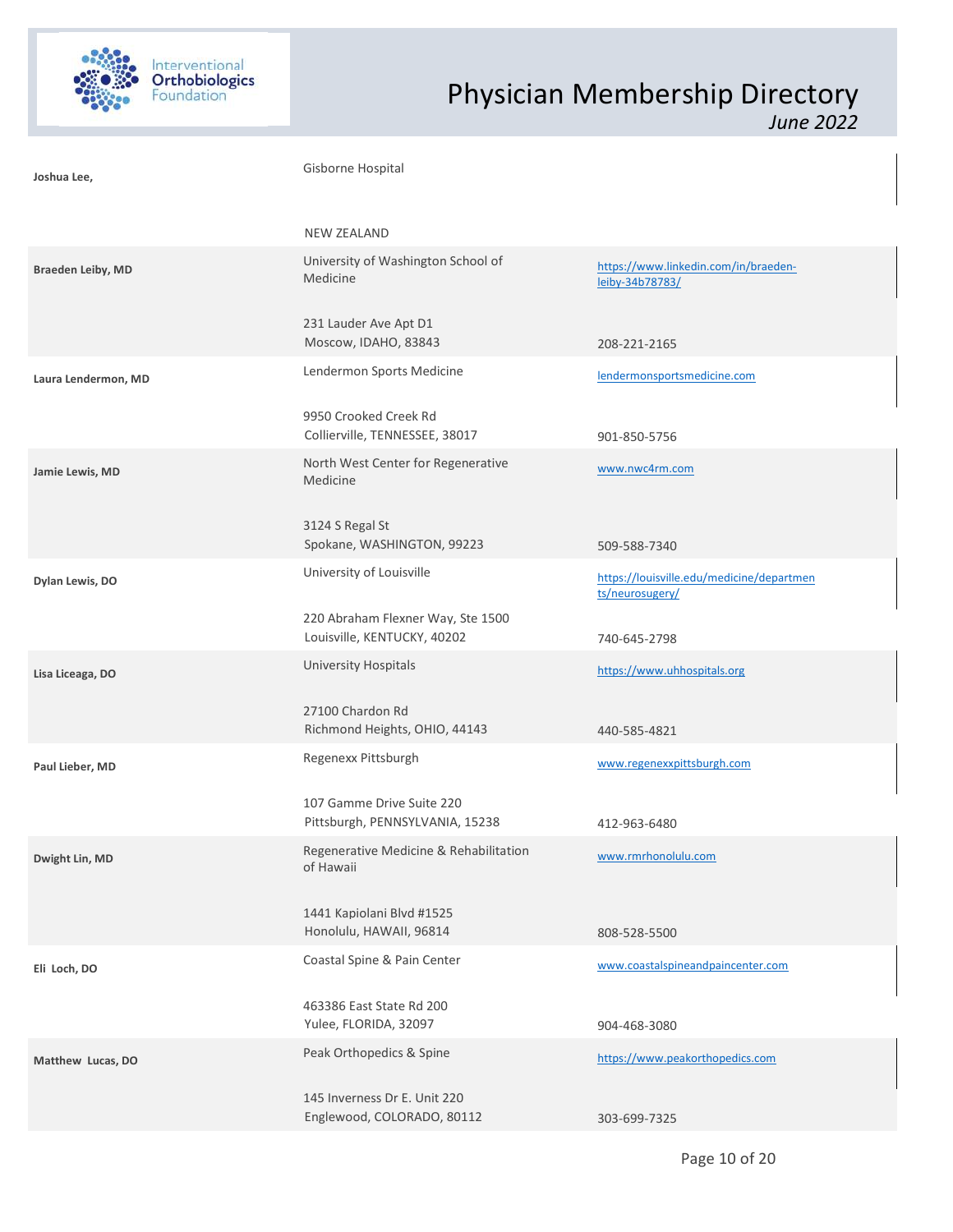

| Joshua Lee,         | Gisborne Hospital                                                |                                                              |  |
|---------------------|------------------------------------------------------------------|--------------------------------------------------------------|--|
|                     | <b>NEW ZEALAND</b>                                               |                                                              |  |
| Braeden Leiby, MD   | University of Washington School of<br>Medicine                   | https://www.linkedin.com/in/braeden-<br>leiby-34b78783/      |  |
|                     | 231 Lauder Ave Apt D1<br>Moscow, IDAHO, 83843                    | 208-221-2165                                                 |  |
| Laura Lendermon, MD | Lendermon Sports Medicine                                        | lendermonsportsmedicine.com                                  |  |
|                     | 9950 Crooked Creek Rd<br>Collierville, TENNESSEE, 38017          | 901-850-5756                                                 |  |
| Jamie Lewis, MD     | North West Center for Regenerative<br>Medicine                   | www.nwc4rm.com                                               |  |
|                     | 3124 S Regal St<br>Spokane, WASHINGTON, 99223                    | 509-588-7340                                                 |  |
| Dylan Lewis, DO     | University of Louisville                                         | https://louisville.edu/medicine/departmen<br>ts/neurosugery/ |  |
|                     | 220 Abraham Flexner Way, Ste 1500<br>Louisville, KENTUCKY, 40202 | 740-645-2798                                                 |  |
| Lisa Liceaga, DO    | <b>University Hospitals</b>                                      | https://www.uhhospitals.org                                  |  |
|                     | 27100 Chardon Rd<br>Richmond Heights, OHIO, 44143                | 440-585-4821                                                 |  |
| Paul Lieber, MD     | Regenexx Pittsburgh                                              | www.regenexxpittsburgh.com                                   |  |
|                     | 107 Gamme Drive Suite 220<br>Pittsburgh, PENNSYLVANIA, 15238     | 412-963-6480                                                 |  |
| Dwight Lin, MD      | Regenerative Medicine & Rehabilitation<br>of Hawaii              | www.rmrhonolulu.com                                          |  |
|                     | 1441 Kapiolani Blvd #1525<br>Honolulu, HAWAII, 96814             | 808-528-5500                                                 |  |
| Eli Loch, DO        | Coastal Spine & Pain Center                                      | www.coastalspineandpaincenter.com                            |  |
|                     | 463386 East State Rd 200<br>Yulee, FLORIDA, 32097                | 904-468-3080                                                 |  |
| Matthew Lucas, DO   | Peak Orthopedics & Spine                                         | https://www.peakorthopedics.com                              |  |
|                     | 145 Inverness Dr E. Unit 220<br>Englewood, COLORADO, 80112       | 303-699-7325                                                 |  |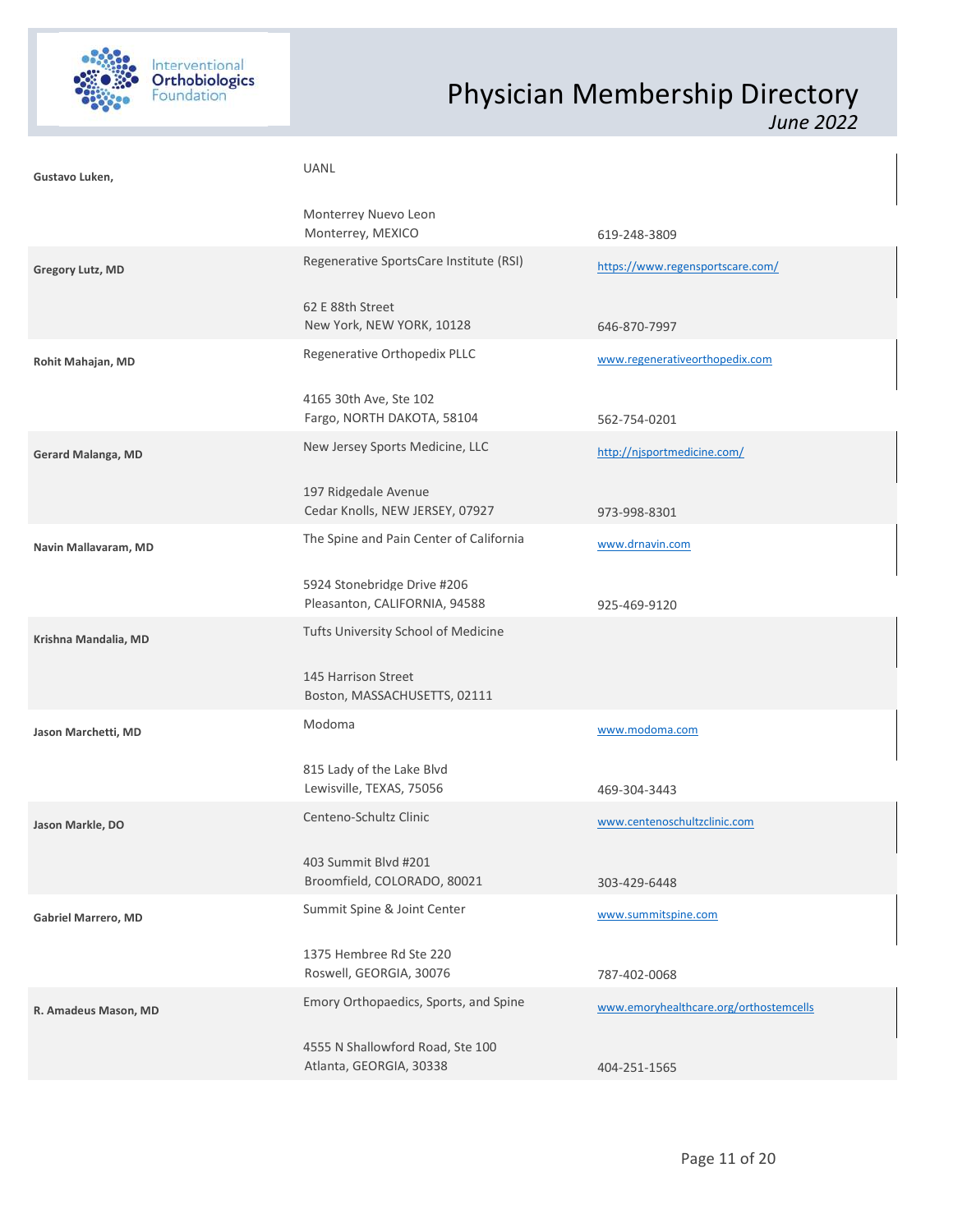

| Gustavo Luken,          | UANL                                                         |                                        |  |
|-------------------------|--------------------------------------------------------------|----------------------------------------|--|
|                         | Monterrey Nuevo Leon<br>Monterrey, MEXICO                    | 619-248-3809                           |  |
| <b>Gregory Lutz, MD</b> | Regenerative SportsCare Institute (RSI)                      | https://www.regensportscare.com/       |  |
|                         | 62 E 88th Street<br>New York, NEW YORK, 10128                | 646-870-7997                           |  |
| Rohit Mahajan, MD       | Regenerative Orthopedix PLLC                                 | www.regenerativeorthopedix.com         |  |
|                         | 4165 30th Ave, Ste 102<br>Fargo, NORTH DAKOTA, 58104         | 562-754-0201                           |  |
| Gerard Malanga, MD      | New Jersey Sports Medicine, LLC                              | http://njsportmedicine.com/            |  |
|                         | 197 Ridgedale Avenue<br>Cedar Knolls, NEW JERSEY, 07927      | 973-998-8301                           |  |
| Navin Mallavaram, MD    | The Spine and Pain Center of California                      | www.drnavin.com                        |  |
|                         | 5924 Stonebridge Drive #206<br>Pleasanton, CALIFORNIA, 94588 | 925-469-9120                           |  |
| Krishna Mandalia, MD    | Tufts University School of Medicine                          |                                        |  |
|                         | 145 Harrison Street<br>Boston, MASSACHUSETTS, 02111          |                                        |  |
| Jason Marchetti, MD     | Modoma                                                       | www.modoma.com                         |  |
|                         | 815 Lady of the Lake Blvd<br>Lewisville, TEXAS, 75056        | 469-304-3443                           |  |
| Jason Markle, DO        | Centeno-Schultz Clinic                                       | www.centenoschultzclinic.com           |  |
|                         | 403 Summit Blvd #201<br>Broomfield, COLORADO, 80021          | 303-429-6448                           |  |
| Gabriel Marrero, MD     | Summit Spine & Joint Center                                  | www.summitspine.com                    |  |
|                         | 1375 Hembree Rd Ste 220<br>Roswell, GEORGIA, 30076           | 787-402-0068                           |  |
| R. Amadeus Mason, MD    | Emory Orthopaedics, Sports, and Spine                        | www.emoryhealthcare.org/orthostemcells |  |
|                         | 4555 N Shallowford Road, Ste 100<br>Atlanta, GEORGIA, 30338  | 404-251-1565                           |  |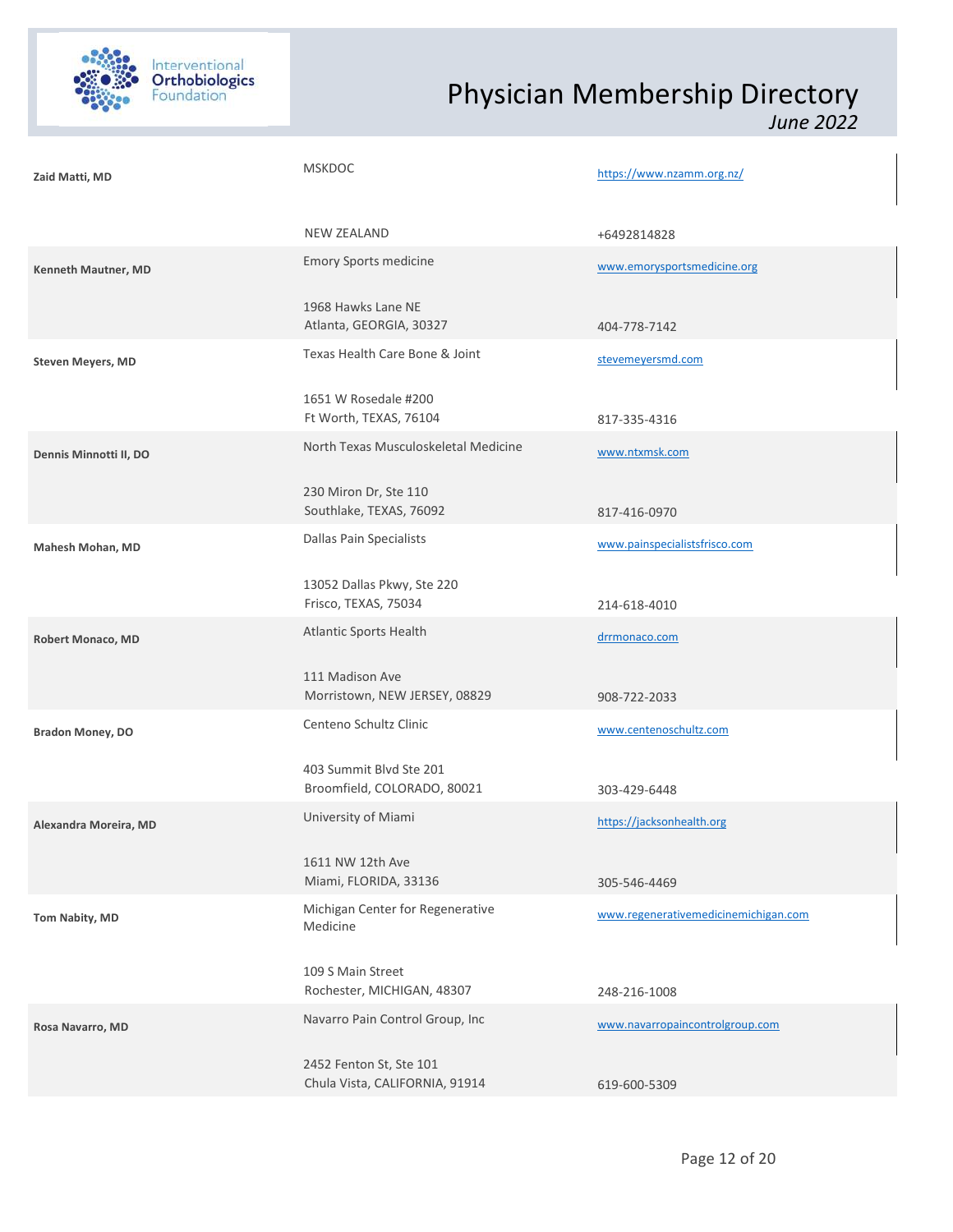

| Zaid Matti, MD           | <b>MSKDOC</b>                                             | https://www.nzamm.org.nz/            |  |
|--------------------------|-----------------------------------------------------------|--------------------------------------|--|
|                          | <b>NEW ZEALAND</b>                                        | +6492814828                          |  |
| Kenneth Mautner, MD      | <b>Emory Sports medicine</b>                              | www.emorysportsmedicine.org          |  |
|                          | 1968 Hawks Lane NE<br>Atlanta, GEORGIA, 30327             | 404-778-7142                         |  |
| <b>Steven Meyers, MD</b> | Texas Health Care Bone & Joint                            | stevemeyersmd.com                    |  |
|                          | 1651 W Rosedale #200<br>Ft Worth, TEXAS, 76104            | 817-335-4316                         |  |
| Dennis Minnotti II, DO   | North Texas Musculoskeletal Medicine                      | www.ntxmsk.com                       |  |
|                          | 230 Miron Dr, Ste 110<br>Southlake, TEXAS, 76092          | 817-416-0970                         |  |
| Mahesh Mohan, MD         | Dallas Pain Specialists                                   | www.painspecialistsfrisco.com        |  |
|                          | 13052 Dallas Pkwy, Ste 220<br>Frisco, TEXAS, 75034        | 214-618-4010                         |  |
| <b>Robert Monaco, MD</b> | Atlantic Sports Health                                    | drrmonaco.com                        |  |
|                          | 111 Madison Ave<br>Morristown, NEW JERSEY, 08829          | 908-722-2033                         |  |
| <b>Bradon Money, DO</b>  | Centeno Schultz Clinic                                    | www.centenoschultz.com               |  |
|                          | 403 Summit Blvd Ste 201<br>Broomfield, COLORADO, 80021    | 303-429-6448                         |  |
| Alexandra Moreira, MD    | University of Miami                                       | https://jacksonhealth.org            |  |
|                          | 1611 NW 12th Ave<br>Miami, FLORIDA, 33136                 | 305-546-4469                         |  |
| Tom Nabity, MD           | Michigan Center for Regenerative<br>Medicine              | www.regenerativemedicinemichigan.com |  |
|                          | 109 S Main Street<br>Rochester, MICHIGAN, 48307           | 248-216-1008                         |  |
| Rosa Navarro, MD         | Navarro Pain Control Group, Inc                           | www.navarropaincontrolgroup.com      |  |
|                          | 2452 Fenton St, Ste 101<br>Chula Vista, CALIFORNIA, 91914 | 619-600-5309                         |  |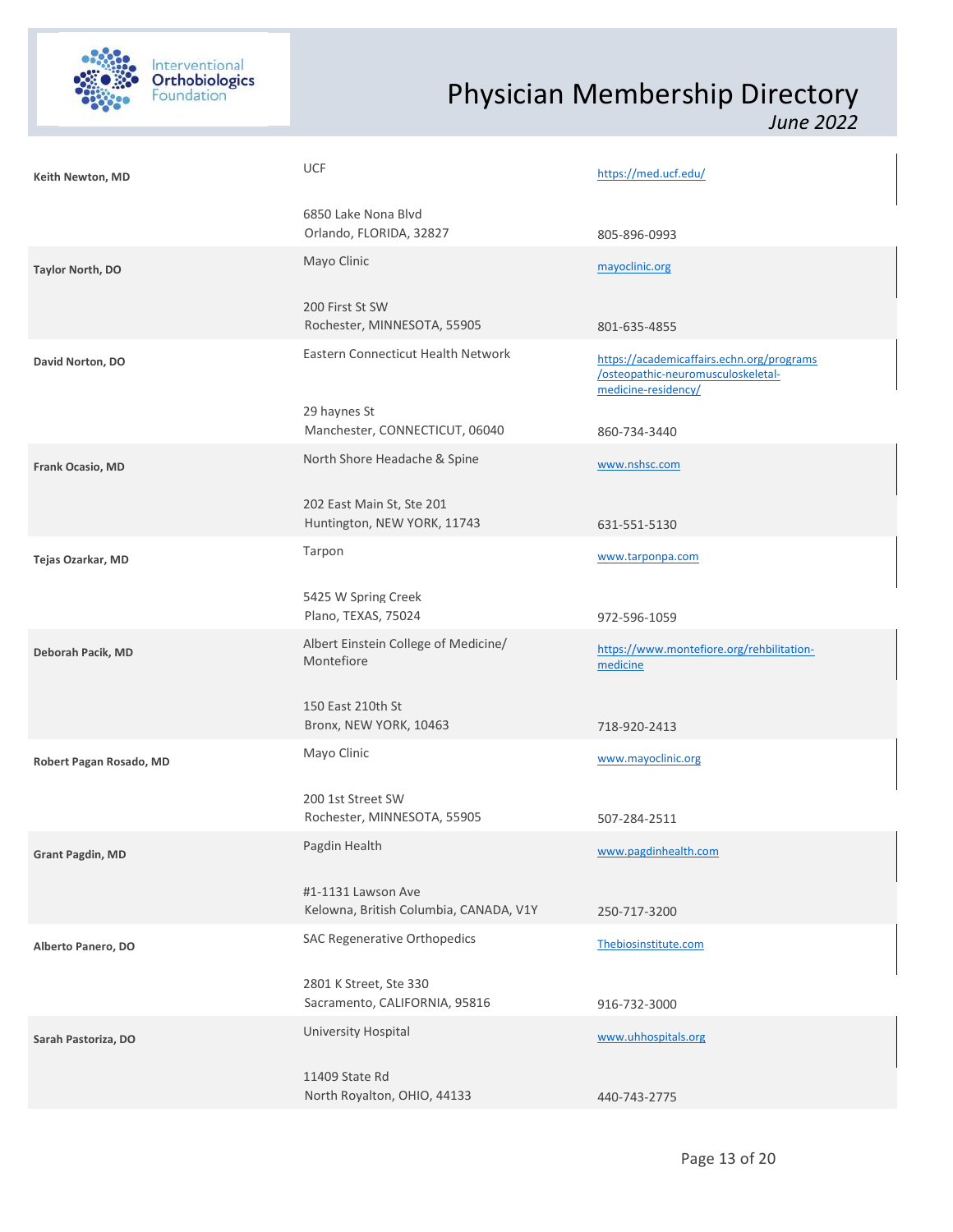

| Keith Newton, MD        | UCF                                                          | https://med.ucf.edu/                                                                                   |  |
|-------------------------|--------------------------------------------------------------|--------------------------------------------------------------------------------------------------------|--|
|                         | 6850 Lake Nona Blvd<br>Orlando, FLORIDA, 32827               | 805-896-0993                                                                                           |  |
| Taylor North, DO        | Mayo Clinic                                                  | mayoclinic.org                                                                                         |  |
|                         | 200 First St SW<br>Rochester, MINNESOTA, 55905               | 801-635-4855                                                                                           |  |
| David Norton, DO        | Eastern Connecticut Health Network                           | https://academicaffairs.echn.org/programs<br>/osteopathic-neuromusculoskeletal-<br>medicine-residency/ |  |
|                         | 29 haynes St<br>Manchester, CONNECTICUT, 06040               | 860-734-3440                                                                                           |  |
| Frank Ocasio, MD        | North Shore Headache & Spine                                 | www.nshsc.com                                                                                          |  |
|                         | 202 East Main St, Ste 201<br>Huntington, NEW YORK, 11743     | 631-551-5130                                                                                           |  |
| Tejas Ozarkar, MD       | Tarpon                                                       | www.tarponpa.com                                                                                       |  |
|                         | 5425 W Spring Creek<br>Plano, TEXAS, 75024                   | 972-596-1059                                                                                           |  |
| Deborah Pacik, MD       | Albert Einstein College of Medicine/<br>Montefiore           | https://www.montefiore.org/rehbilitation-<br>medicine                                                  |  |
|                         | 150 East 210th St<br>Bronx, NEW YORK, 10463                  | 718-920-2413                                                                                           |  |
| Robert Pagan Rosado, MD | Mayo Clinic                                                  | www.mayoclinic.org                                                                                     |  |
|                         | 200 1st Street SW<br>Rochester, MINNESOTA, 55905             | 507-284-2511                                                                                           |  |
| <b>Grant Pagdin, MD</b> | Pagdin Health                                                | www.pagdinhealth.com                                                                                   |  |
|                         | #1-1131 Lawson Ave<br>Kelowna, British Columbia, CANADA, V1Y | 250-717-3200                                                                                           |  |
| Alberto Panero, DO      | SAC Regenerative Orthopedics                                 | Thebiosinstitute.com                                                                                   |  |
|                         | 2801 K Street, Ste 330<br>Sacramento, CALIFORNIA, 95816      | 916-732-3000                                                                                           |  |
| Sarah Pastoriza, DO     | University Hospital                                          | www.uhhospitals.org                                                                                    |  |
|                         | 11409 State Rd<br>North Royalton, OHIO, 44133                | 440-743-2775                                                                                           |  |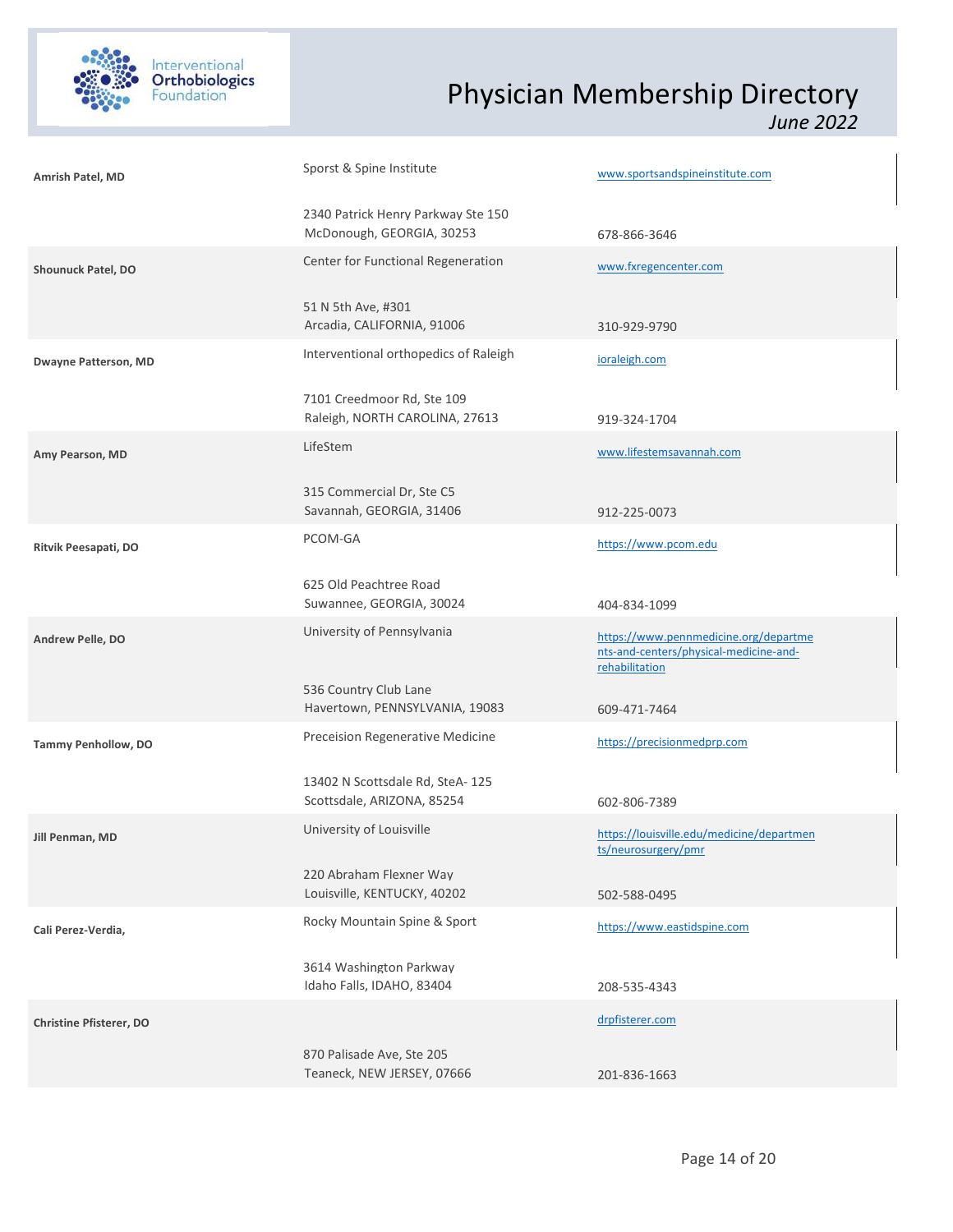

| Amrish Patel, MD               | Sporst & Spine Institute                                        | www.sportsandspineinstitute.com                                                                   |
|--------------------------------|-----------------------------------------------------------------|---------------------------------------------------------------------------------------------------|
|                                | 2340 Patrick Henry Parkway Ste 150<br>McDonough, GEORGIA, 30253 | 678-866-3646                                                                                      |
| Shounuck Patel, DO             | Center for Functional Regeneration                              | www.fxregencenter.com                                                                             |
|                                | 51 N 5th Ave, #301<br>Arcadia, CALIFORNIA, 91006                | 310-929-9790                                                                                      |
| <b>Dwayne Patterson, MD</b>    | Interventional orthopedics of Raleigh                           | ioraleigh.com                                                                                     |
|                                | 7101 Creedmoor Rd, Ste 109<br>Raleigh, NORTH CAROLINA, 27613    | 919-324-1704                                                                                      |
| Amy Pearson, MD                | LifeStem                                                        | www.lifestemsavannah.com                                                                          |
|                                | 315 Commercial Dr, Ste C5<br>Savannah, GEORGIA, 31406           | 912-225-0073                                                                                      |
| Ritvik Peesapati, DO           | PCOM-GA                                                         | https://www.pcom.edu                                                                              |
|                                | 625 Old Peachtree Road<br>Suwannee, GEORGIA, 30024              | 404-834-1099                                                                                      |
| Andrew Pelle, DO               | University of Pennsylvania                                      | https://www.pennmedicine.org/departme<br>nts-and-centers/physical-medicine-and-<br>rehabilitation |
|                                | 536 Country Club Lane<br>Havertown, PENNSYLVANIA, 19083         | 609-471-7464                                                                                      |
| Tammy Penhollow, DO            | Preceision Regenerative Medicine                                | https://precisionmedprp.com                                                                       |
|                                | 13402 N Scottsdale Rd, SteA-125<br>Scottsdale, ARIZONA, 85254   | 602-806-7389                                                                                      |
| Jill Penman, MD                | University of Louisville                                        | https://louisville.edu/medicine/departmen<br>ts/neurosurgery/pmr                                  |
|                                | 220 Abraham Flexner Way<br>Louisville, KENTUCKY, 40202          | 502-588-0495                                                                                      |
| Cali Perez-Verdia,             | Rocky Mountain Spine & Sport                                    | https://www.eastidspine.com                                                                       |
|                                | 3614 Washington Parkway<br>Idaho Falls, IDAHO, 83404            | 208-535-4343                                                                                      |
| <b>Christine Pfisterer, DO</b> |                                                                 | drpfisterer.com                                                                                   |
|                                | 870 Palisade Ave, Ste 205<br>Teaneck, NEW JERSEY, 07666         | 201-836-1663                                                                                      |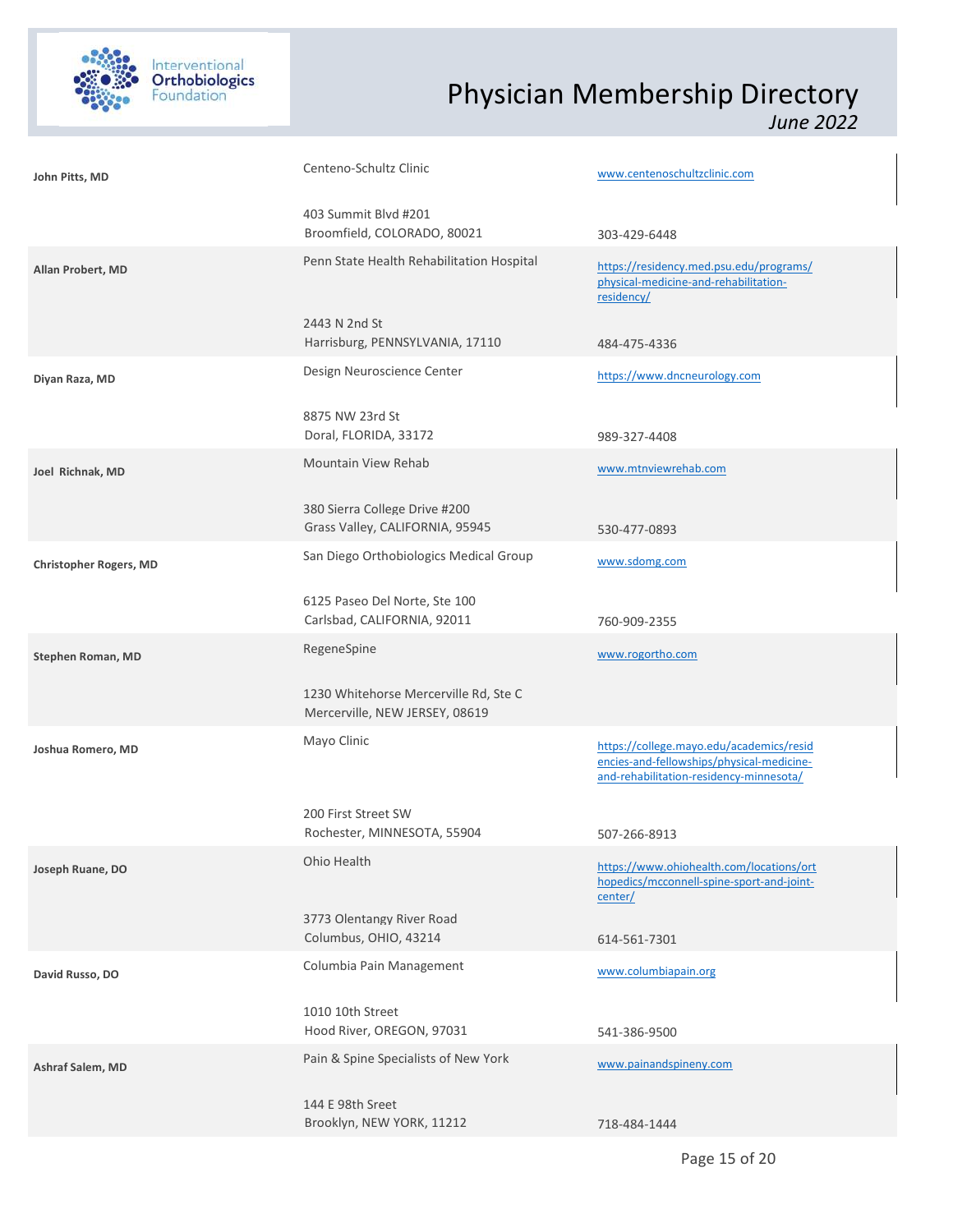

| John Pitts, MD                | Centeno-Schultz Clinic                                                  | www.centenoschultzclinic.com                                                                                                     |
|-------------------------------|-------------------------------------------------------------------------|----------------------------------------------------------------------------------------------------------------------------------|
|                               | 403 Summit Blvd #201<br>Broomfield, COLORADO, 80021                     | 303-429-6448                                                                                                                     |
| Allan Probert, MD             | Penn State Health Rehabilitation Hospital                               | https://residency.med.psu.edu/programs/<br>physical-medicine-and-rehabilitation-<br>residency/                                   |
|                               | 2443 N 2nd St<br>Harrisburg, PENNSYLVANIA, 17110                        | 484-475-4336                                                                                                                     |
| Diyan Raza, MD                | Design Neuroscience Center                                              | https://www.dncneurology.com                                                                                                     |
|                               | 8875 NW 23rd St<br>Doral, FLORIDA, 33172                                | 989-327-4408                                                                                                                     |
| Joel Richnak, MD              | Mountain View Rehab                                                     | www.mtnviewrehab.com                                                                                                             |
|                               | 380 Sierra College Drive #200<br>Grass Valley, CALIFORNIA, 95945        | 530-477-0893                                                                                                                     |
| <b>Christopher Rogers, MD</b> | San Diego Orthobiologics Medical Group                                  | www.sdomg.com                                                                                                                    |
|                               | 6125 Paseo Del Norte, Ste 100<br>Carlsbad, CALIFORNIA, 92011            | 760-909-2355                                                                                                                     |
| Stephen Roman, MD             | RegeneSpine                                                             | www.rogortho.com                                                                                                                 |
|                               | 1230 Whitehorse Mercerville Rd, Ste C<br>Mercerville, NEW JERSEY, 08619 |                                                                                                                                  |
| Joshua Romero, MD             | Mayo Clinic                                                             | https://college.mayo.edu/academics/resid<br>encies-and-fellowships/physical-medicine-<br>and-rehabilitation-residency-minnesota/ |
|                               | 200 First Street SW                                                     |                                                                                                                                  |
|                               |                                                                         |                                                                                                                                  |
|                               | Rochester, MINNESOTA, 55904<br>Ohio Health                              | 507-266-8913                                                                                                                     |
| Joseph Ruane, DO              |                                                                         | https://www.ohiohealth.com/locations/ort<br>hopedics/mcconnell-spine-sport-and-joint-<br>center/                                 |
|                               | 3773 Olentangy River Road<br>Columbus, OHIO, 43214                      | 614-561-7301                                                                                                                     |
| David Russo, DO               | Columbia Pain Management                                                | www.columbiapain.org                                                                                                             |
|                               | 1010 10th Street<br>Hood River, OREGON, 97031                           | 541-386-9500                                                                                                                     |
| Ashraf Salem, MD              | Pain & Spine Specialists of New York                                    | www.painandspineny.com                                                                                                           |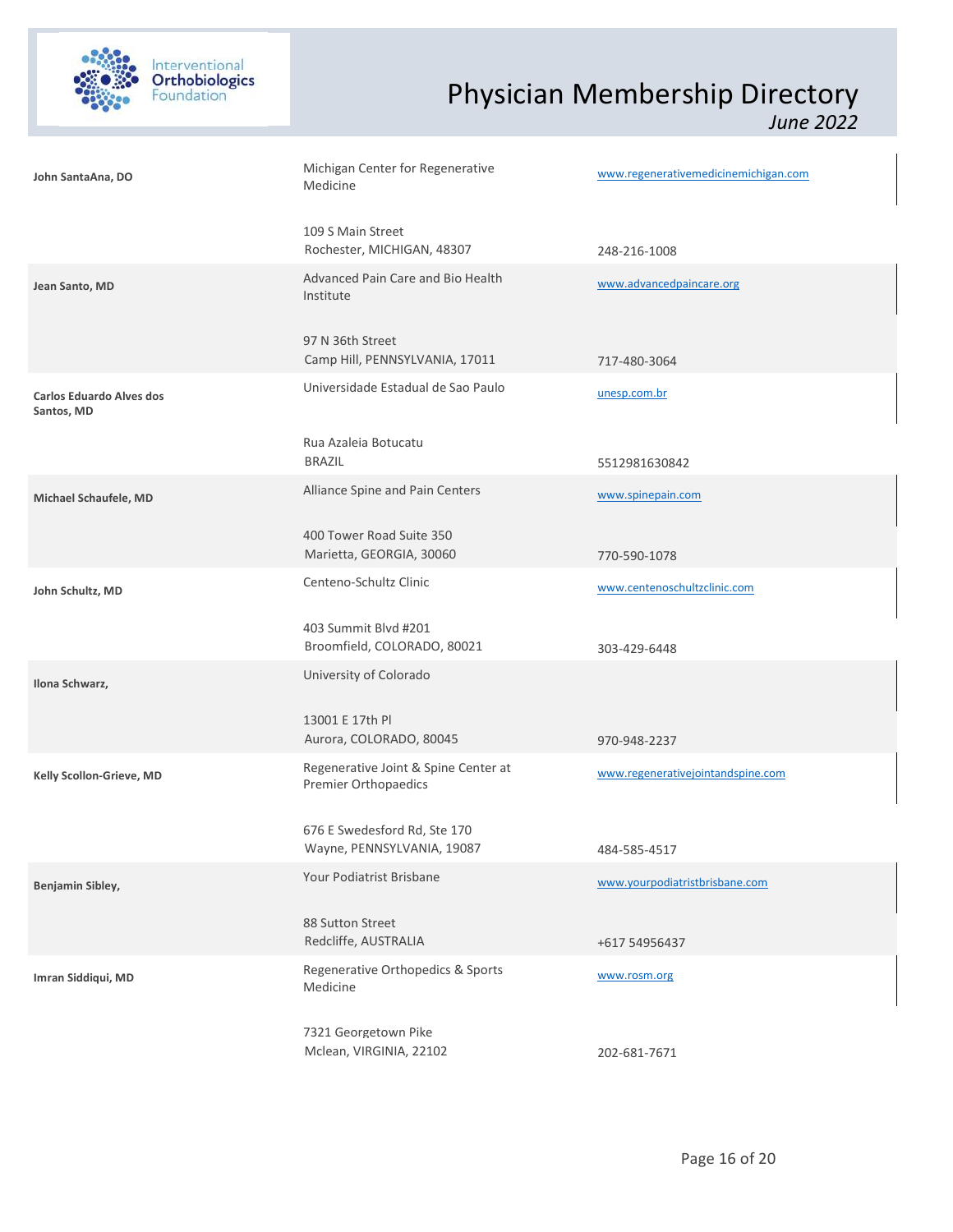

| John SantaAna, DO                             | Michigan Center for Regenerative<br>Medicine                 | www.regenerativemedicinemichigan.com |  |
|-----------------------------------------------|--------------------------------------------------------------|--------------------------------------|--|
|                                               | 109 S Main Street<br>Rochester, MICHIGAN, 48307              | 248-216-1008                         |  |
| Jean Santo, MD                                | Advanced Pain Care and Bio Health<br>Institute               | www.advancedpaincare.org             |  |
|                                               | 97 N 36th Street<br>Camp Hill, PENNSYLVANIA, 17011           | 717-480-3064                         |  |
| <b>Carlos Eduardo Alves dos</b><br>Santos, MD | Universidade Estadual de Sao Paulo                           | unesp.com.br                         |  |
|                                               | Rua Azaleia Botucatu<br><b>BRAZIL</b>                        | 5512981630842                        |  |
| Michael Schaufele, MD                         | Alliance Spine and Pain Centers                              | www.spinepain.com                    |  |
|                                               | 400 Tower Road Suite 350<br>Marietta, GEORGIA, 30060         | 770-590-1078                         |  |
| John Schultz, MD                              | Centeno-Schultz Clinic                                       | www.centenoschultzclinic.com         |  |
|                                               | 403 Summit Blvd #201<br>Broomfield, COLORADO, 80021          | 303-429-6448                         |  |
| Ilona Schwarz,                                | University of Colorado                                       |                                      |  |
|                                               | 13001 E 17th Pl<br>Aurora, COLORADO, 80045                   | 970-948-2237                         |  |
| Kelly Scollon-Grieve, MD                      | Regenerative Joint & Spine Center at<br>Premier Orthopaedics | www.regenerativejointandspine.com    |  |
|                                               | 676 E Swedesford Rd, Ste 170<br>Wayne, PENNSYLVANIA, 19087   | 484-585-4517                         |  |
| Benjamin Sibley,                              | Your Podiatrist Brisbane                                     | www.yourpodiatristbrisbane.com       |  |
|                                               | 88 Sutton Street<br>Redcliffe, AUSTRALIA                     | +617 54956437                        |  |
| Imran Siddiqui, MD                            | Regenerative Orthopedics & Sports<br>Medicine                | www.rosm.org                         |  |
|                                               | 7321 Georgetown Pike<br>Mclean, VIRGINIA, 22102              | 202-681-7671                         |  |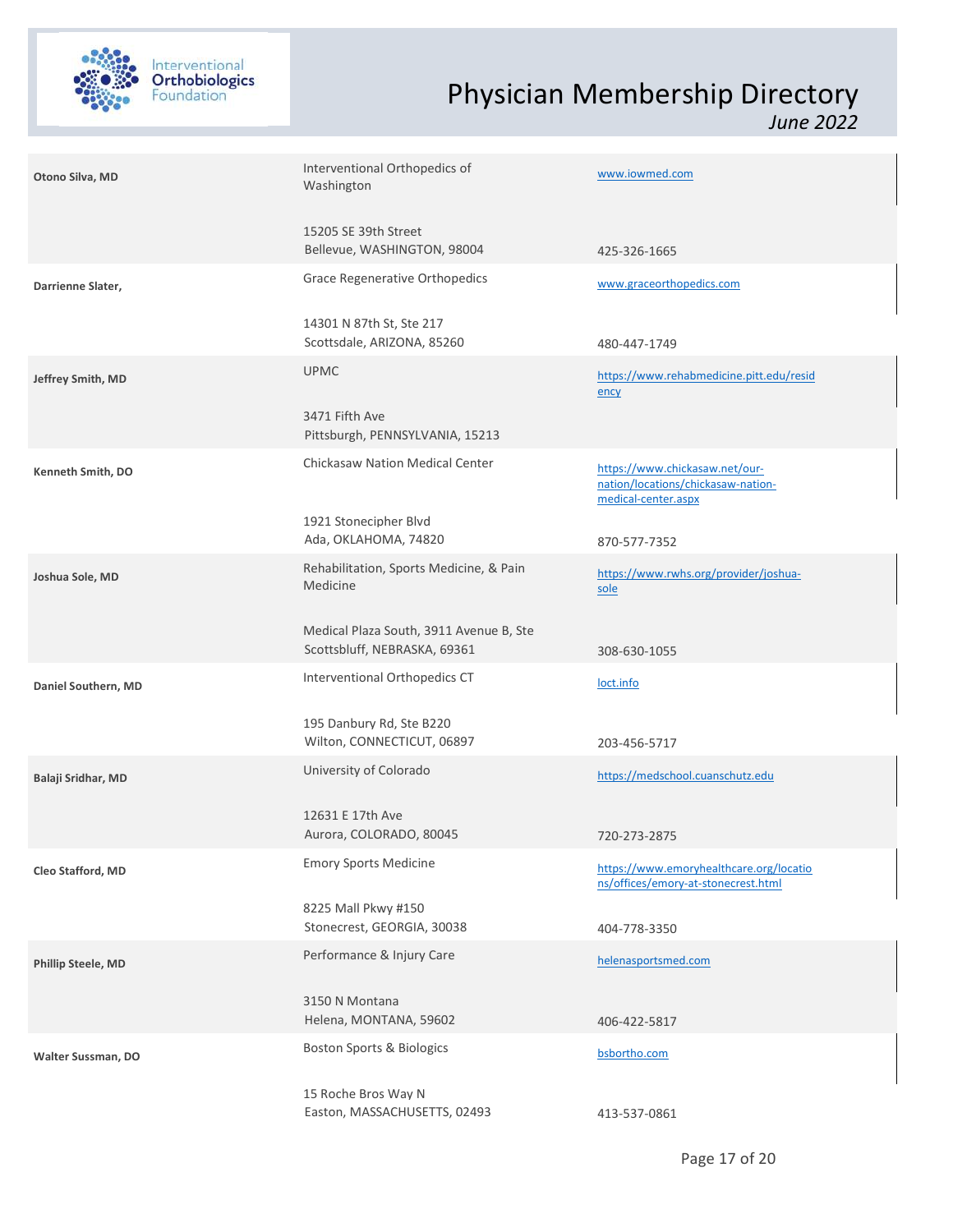

| Otono Silva, MD     | Interventional Orthopedics of<br>Washington                             | www.iowmed.com                                                                              |
|---------------------|-------------------------------------------------------------------------|---------------------------------------------------------------------------------------------|
|                     | 15205 SE 39th Street<br>Bellevue, WASHINGTON, 98004                     | 425-326-1665                                                                                |
| Darrienne Slater,   | <b>Grace Regenerative Orthopedics</b>                                   | www.graceorthopedics.com                                                                    |
|                     | 14301 N 87th St, Ste 217<br>Scottsdale, ARIZONA, 85260                  | 480-447-1749                                                                                |
| Jeffrey Smith, MD   | <b>UPMC</b>                                                             | https://www.rehabmedicine.pitt.edu/resid<br>ency                                            |
|                     | 3471 Fifth Ave<br>Pittsburgh, PENNSYLVANIA, 15213                       |                                                                                             |
| Kenneth Smith, DO   | <b>Chickasaw Nation Medical Center</b>                                  | https://www.chickasaw.net/our-<br>nation/locations/chickasaw-nation-<br>medical-center.aspx |
|                     | 1921 Stonecipher Blvd<br>Ada, OKLAHOMA, 74820                           | 870-577-7352                                                                                |
| Joshua Sole, MD     | Rehabilitation, Sports Medicine, & Pain<br>Medicine                     | https://www.rwhs.org/provider/joshua-<br>sole                                               |
|                     | Medical Plaza South, 3911 Avenue B, Ste<br>Scottsbluff, NEBRASKA, 69361 | 308-630-1055                                                                                |
| Daniel Southern, MD | Interventional Orthopedics CT                                           | loct.info                                                                                   |
|                     | 195 Danbury Rd, Ste B220<br>Wilton, CONNECTICUT, 06897                  | 203-456-5717                                                                                |
| Balaji Sridhar, MD  | University of Colorado                                                  | https://medschool.cuanschutz.edu                                                            |
|                     | 12631 E 17th Ave<br>Aurora, COLORADO, 80045                             | 720-273-2875                                                                                |
| Cleo Stafford, MD   | <b>Emory Sports Medicine</b>                                            | https://www.emoryhealthcare.org/locatio<br>ns/offices/emory-at-stonecrest.html              |
|                     | 8225 Mall Pkwy #150<br>Stonecrest, GEORGIA, 30038                       | 404-778-3350                                                                                |
| Phillip Steele, MD  | Performance & Injury Care                                               | helenasportsmed.com                                                                         |
|                     | 3150 N Montana<br>Helena, MONTANA, 59602                                | 406-422-5817                                                                                |
| Walter Sussman, DO  | <b>Boston Sports &amp; Biologics</b>                                    | bsbortho.com                                                                                |
|                     | 15 Roche Bros Way N<br>Easton, MASSACHUSETTS, 02493                     | 413-537-0861                                                                                |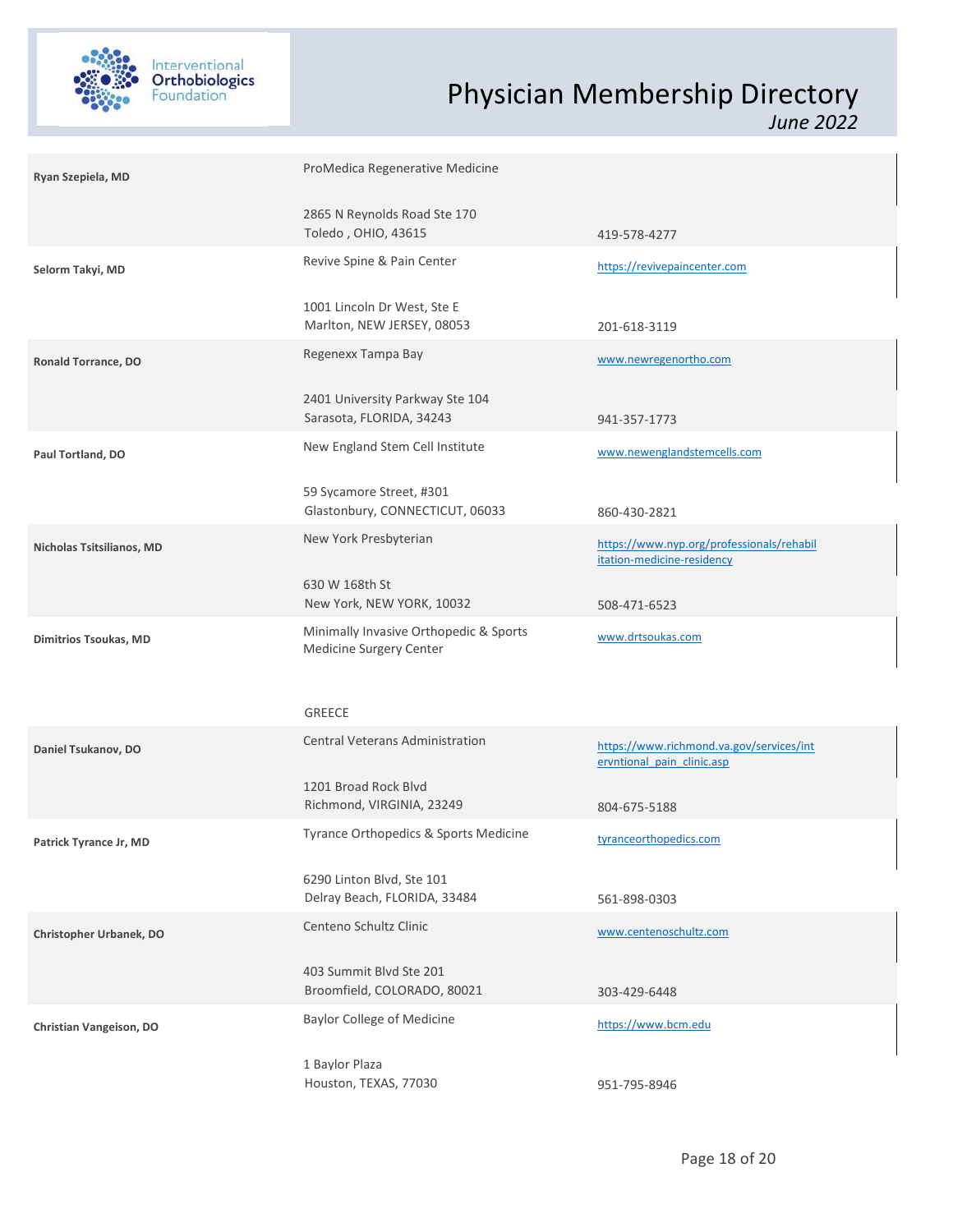

| Ryan Szepiela, MD         | ProMedica Regenerative Medicine                                   |                                                                         |
|---------------------------|-------------------------------------------------------------------|-------------------------------------------------------------------------|
|                           | 2865 N Reynolds Road Ste 170<br>Toledo, OHIO, 43615               | 419-578-4277                                                            |
| Selorm Takyi, MD          | Revive Spine & Pain Center                                        | https://revivepaincenter.com                                            |
|                           | 1001 Lincoln Dr West, Ste E<br>Marlton, NEW JERSEY, 08053         | 201-618-3119                                                            |
| Ronald Torrance, DO       | Regenexx Tampa Bay                                                | www.newregenortho.com                                                   |
|                           | 2401 University Parkway Ste 104<br>Sarasota, FLORIDA, 34243       | 941-357-1773                                                            |
| Paul Tortland, DO         | New England Stem Cell Institute                                   | www.newenglandstemcells.com                                             |
|                           | 59 Sycamore Street, #301<br>Glastonbury, CONNECTICUT, 06033       | 860-430-2821                                                            |
| Nicholas Tsitsilianos, MD | New York Presbyterian                                             | https://www.nyp.org/professionals/rehabil<br>itation-medicine-residency |
|                           | 630 W 168th St<br>New York, NEW YORK, 10032                       | 508-471-6523                                                            |
| Dimitrios Tsoukas, MD     | Minimally Invasive Orthopedic & Sports<br>Medicine Surgery Center | www.drtsoukas.com                                                       |
|                           |                                                                   |                                                                         |
|                           | GREECE                                                            |                                                                         |
| Daniel Tsukanov, DO       | Central Veterans Administration                                   | https://www.richmond.va.gov/services/int<br>ervntional pain clinic.asp  |
|                           | 1201 Broad Rock Blvd<br>Richmond, VIRGINIA, 23249                 | 804-675-5188                                                            |
| Patrick Tyrance Jr, MD    | Tyrance Orthopedics & Sports Medicine                             | tyranceorthopedics.com                                                  |
|                           | 6290 Linton Blvd, Ste 101<br>Delray Beach, FLORIDA, 33484         | 561-898-0303                                                            |
| Christopher Urbanek, DO   | Centeno Schultz Clinic                                            | www.centenoschultz.com                                                  |
|                           | 403 Summit Blvd Ste 201<br>Broomfield, COLORADO, 80021            | 303-429-6448                                                            |
| Christian Vangeison, DO   | <b>Baylor College of Medicine</b>                                 | https://www.bcm.edu                                                     |
|                           | 1 Baylor Plaza<br>Houston, TEXAS, 77030                           | 951-795-8946                                                            |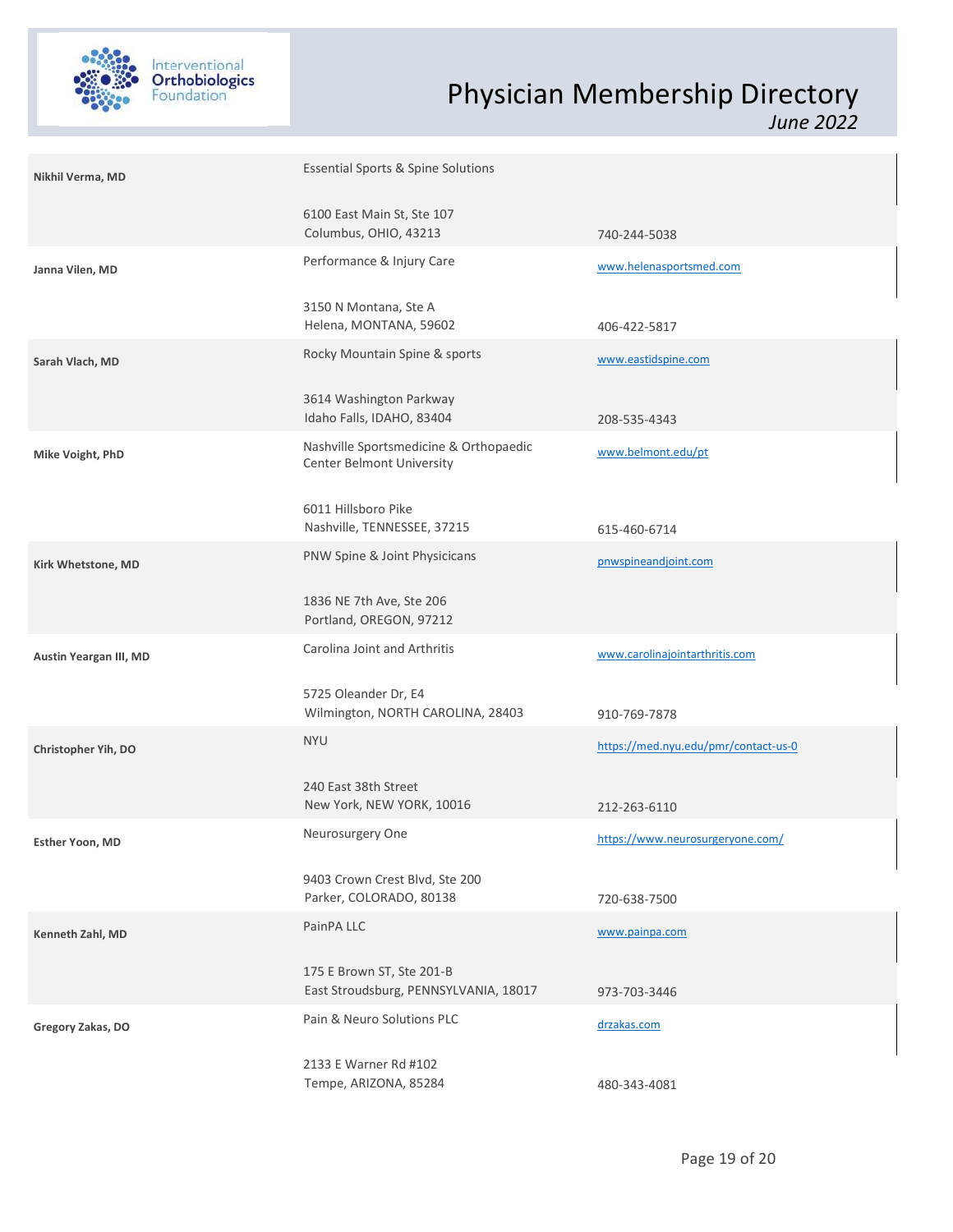

| Nikhil Verma, MD       | <b>Essential Sports &amp; Spine Solutions</b>                       |                                      |  |
|------------------------|---------------------------------------------------------------------|--------------------------------------|--|
|                        | 6100 East Main St, Ste 107<br>Columbus, OHIO, 43213                 | 740-244-5038                         |  |
| Janna Vilen, MD        | Performance & Injury Care                                           | www.helenasportsmed.com              |  |
|                        | 3150 N Montana, Ste A<br>Helena, MONTANA, 59602                     | 406-422-5817                         |  |
| Sarah Vlach, MD        | Rocky Mountain Spine & sports                                       | www.eastidspine.com                  |  |
|                        | 3614 Washington Parkway<br>Idaho Falls, IDAHO, 83404                | 208-535-4343                         |  |
| Mike Voight, PhD       | Nashville Sportsmedicine & Orthopaedic<br>Center Belmont University | www.belmont.edu/pt                   |  |
|                        | 6011 Hillsboro Pike<br>Nashville, TENNESSEE, 37215                  | 615-460-6714                         |  |
| Kirk Whetstone, MD     | PNW Spine & Joint Physicicans                                       | pnwspineandjoint.com                 |  |
|                        | 1836 NE 7th Ave, Ste 206<br>Portland, OREGON, 97212                 |                                      |  |
| Austin Yeargan III, MD | Carolina Joint and Arthritis                                        | www.carolinajointarthritis.com       |  |
|                        | 5725 Oleander Dr, E4<br>Wilmington, NORTH CAROLINA, 28403           | 910-769-7878                         |  |
| Christopher Yih, DO    | <b>NYU</b>                                                          | https://med.nyu.edu/pmr/contact-us-0 |  |
|                        | 240 East 38th Street<br>New York, NEW YORK, 10016                   | 212-263-6110                         |  |
| Esther Yoon, MD        | Neurosurgery One                                                    | https://www.neurosurgeryone.com/     |  |
|                        | 9403 Crown Crest Blvd, Ste 200<br>Parker, COLORADO, 80138           | 720-638-7500                         |  |
| Kenneth Zahl, MD       | PainPA LLC                                                          | www.painpa.com                       |  |
|                        | 175 E Brown ST, Ste 201-B<br>East Stroudsburg, PENNSYLVANIA, 18017  | 973-703-3446                         |  |
| Gregory Zakas, DO      | Pain & Neuro Solutions PLC                                          | drzakas.com                          |  |
|                        | 2133 E Warner Rd #102<br>Tempe, ARIZONA, 85284                      | 480-343-4081                         |  |